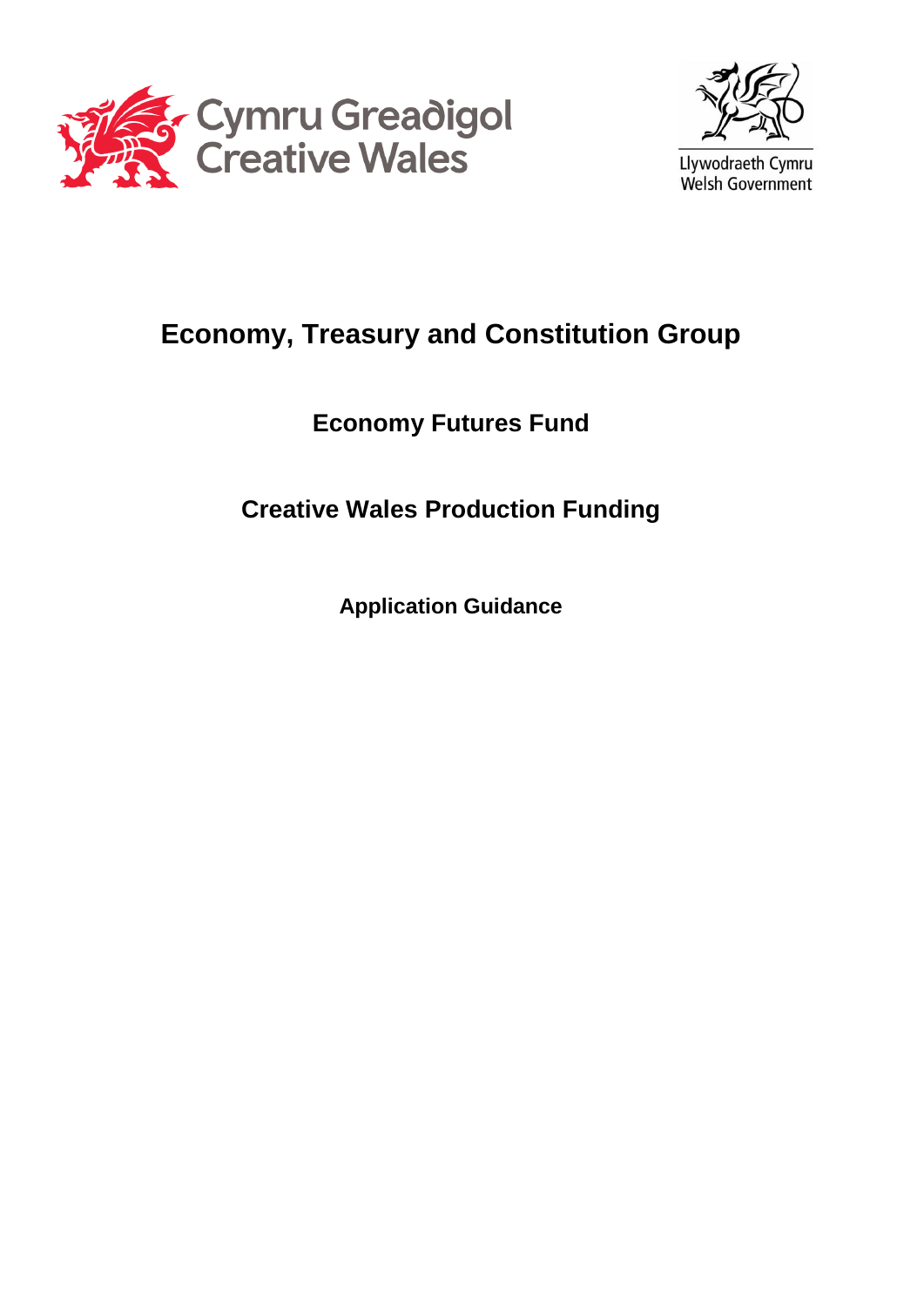



# **Economy, Treasury and Constitution Group**

# **Economy Futures Fund**

# **Creative Wales Production Funding**

**Application Guidance**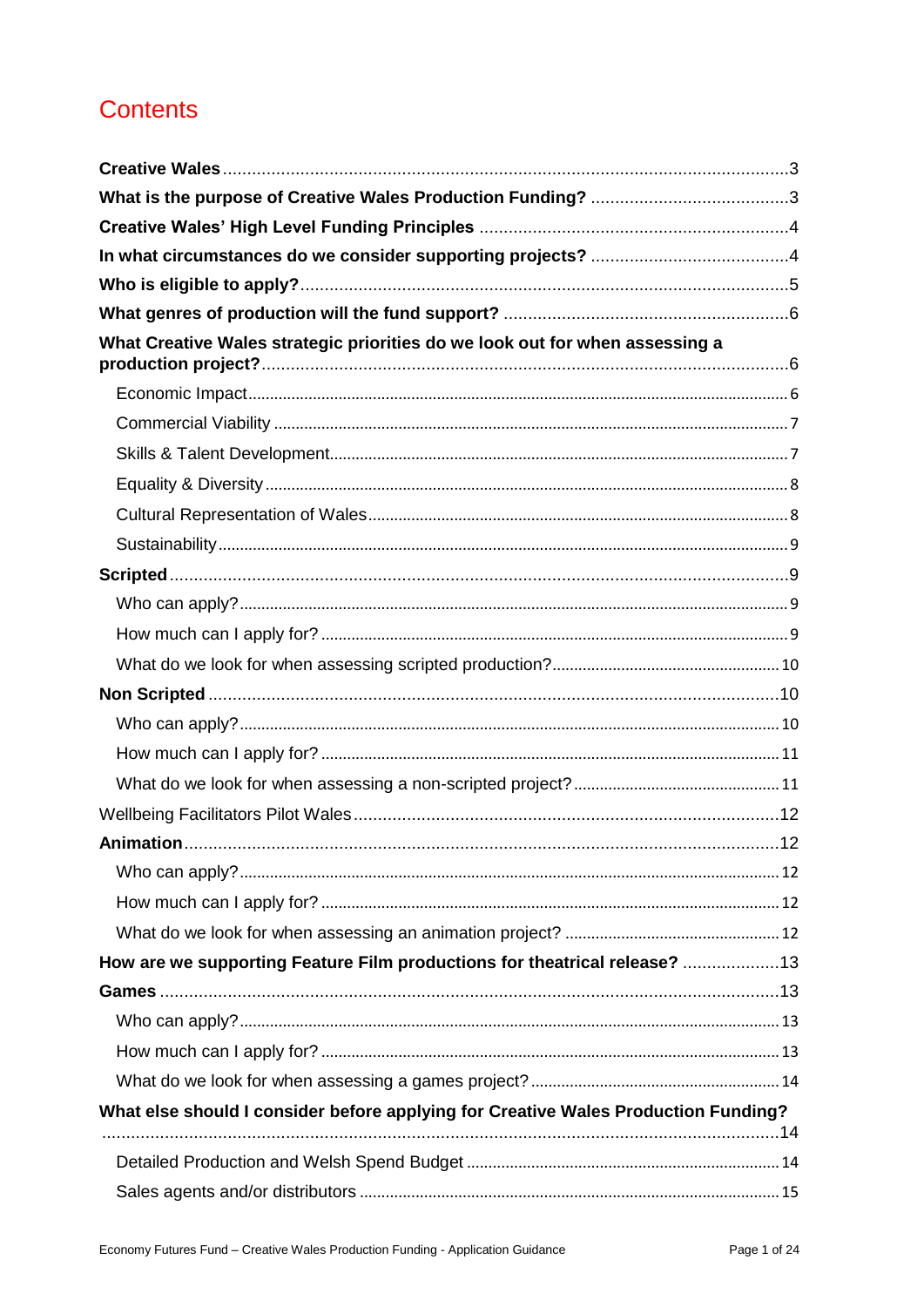# **Contents**

| What Creative Wales strategic priorities do we look out for when assessing a       |  |
|------------------------------------------------------------------------------------|--|
|                                                                                    |  |
|                                                                                    |  |
|                                                                                    |  |
|                                                                                    |  |
|                                                                                    |  |
|                                                                                    |  |
|                                                                                    |  |
|                                                                                    |  |
|                                                                                    |  |
|                                                                                    |  |
|                                                                                    |  |
|                                                                                    |  |
|                                                                                    |  |
|                                                                                    |  |
|                                                                                    |  |
|                                                                                    |  |
|                                                                                    |  |
|                                                                                    |  |
|                                                                                    |  |
| How are we supporting Feature Film productions for theatrical release? 13          |  |
|                                                                                    |  |
|                                                                                    |  |
|                                                                                    |  |
|                                                                                    |  |
| What else should I consider before applying for Creative Wales Production Funding? |  |
|                                                                                    |  |
|                                                                                    |  |
|                                                                                    |  |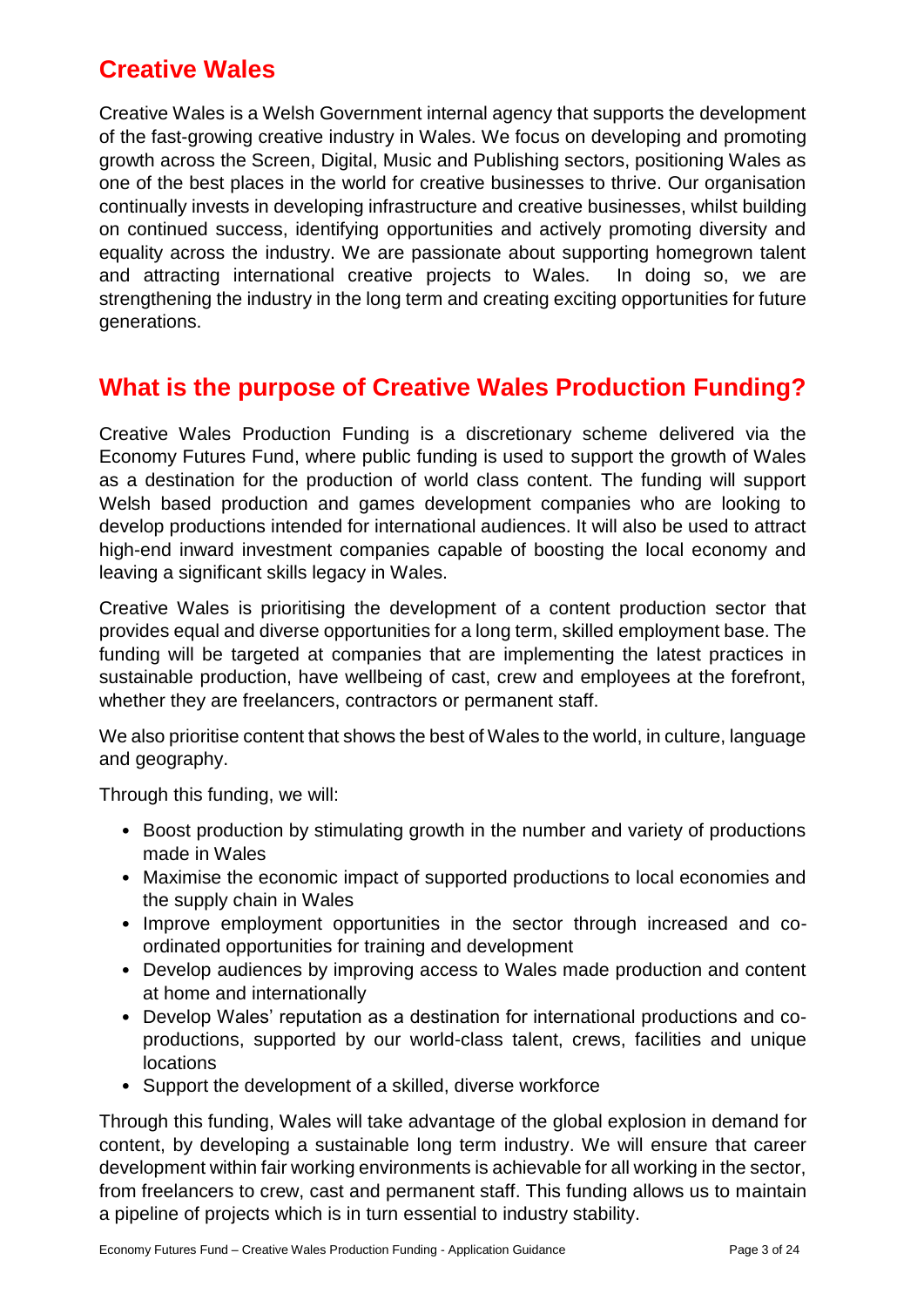# <span id="page-3-0"></span>**Creative Wales**

Creative Wales is a Welsh Government internal agency that supports the development of the fast-growing creative industry in Wales. We focus on developing and promoting growth across the Screen, Digital, Music and Publishing sectors, positioning Wales as one of the best places in the world for creative businesses to thrive. Our organisation continually invests in developing infrastructure and creative businesses, whilst building on continued success, identifying opportunities and actively promoting diversity and equality across the industry. We are passionate about supporting homegrown talent and attracting international creative projects to Wales. In doing so, we are strengthening the industry in the long term and creating exciting opportunities for future generations.

# <span id="page-3-1"></span>**What is the purpose of Creative Wales Production Funding?**

Creative Wales Production Funding is a discretionary scheme delivered via the Economy Futures Fund, where public funding is used to support the growth of Wales as a destination for the production of world class content. The funding will support Welsh based production and games development companies who are looking to develop productions intended for international audiences. It will also be used to attract high-end inward investment companies capable of boosting the local economy and leaving a significant skills legacy in Wales.

Creative Wales is prioritising the development of a content production sector that provides equal and diverse opportunities for a long term, skilled employment base. The funding will be targeted at companies that are implementing the latest practices in sustainable production, have wellbeing of cast, crew and employees at the forefront, whether they are freelancers, contractors or permanent staff.

We also prioritise content that shows the best of Wales to the world, in culture, language and geography.

Through this funding, we will:

- Boost production by stimulating growth in the number and variety of productions made in Wales
- Maximise the economic impact of supported productions to local economies and the supply chain in Wales
- Improve employment opportunities in the sector through increased and coordinated opportunities for training and development
- Develop audiences by improving access to Wales made production and content at home and internationally
- Develop Wales' reputation as a destination for international productions and coproductions, supported by our world-class talent, crews, facilities and unique locations
- Support the development of a skilled, diverse workforce

Through this funding, Wales will take advantage of the global explosion in demand for content, by developing a sustainable long term industry. We will ensure that career development within fair working environments is achievable for all working in the sector, from freelancers to crew, cast and permanent staff. This funding allows us to maintain a pipeline of projects which is in turn essential to industry stability.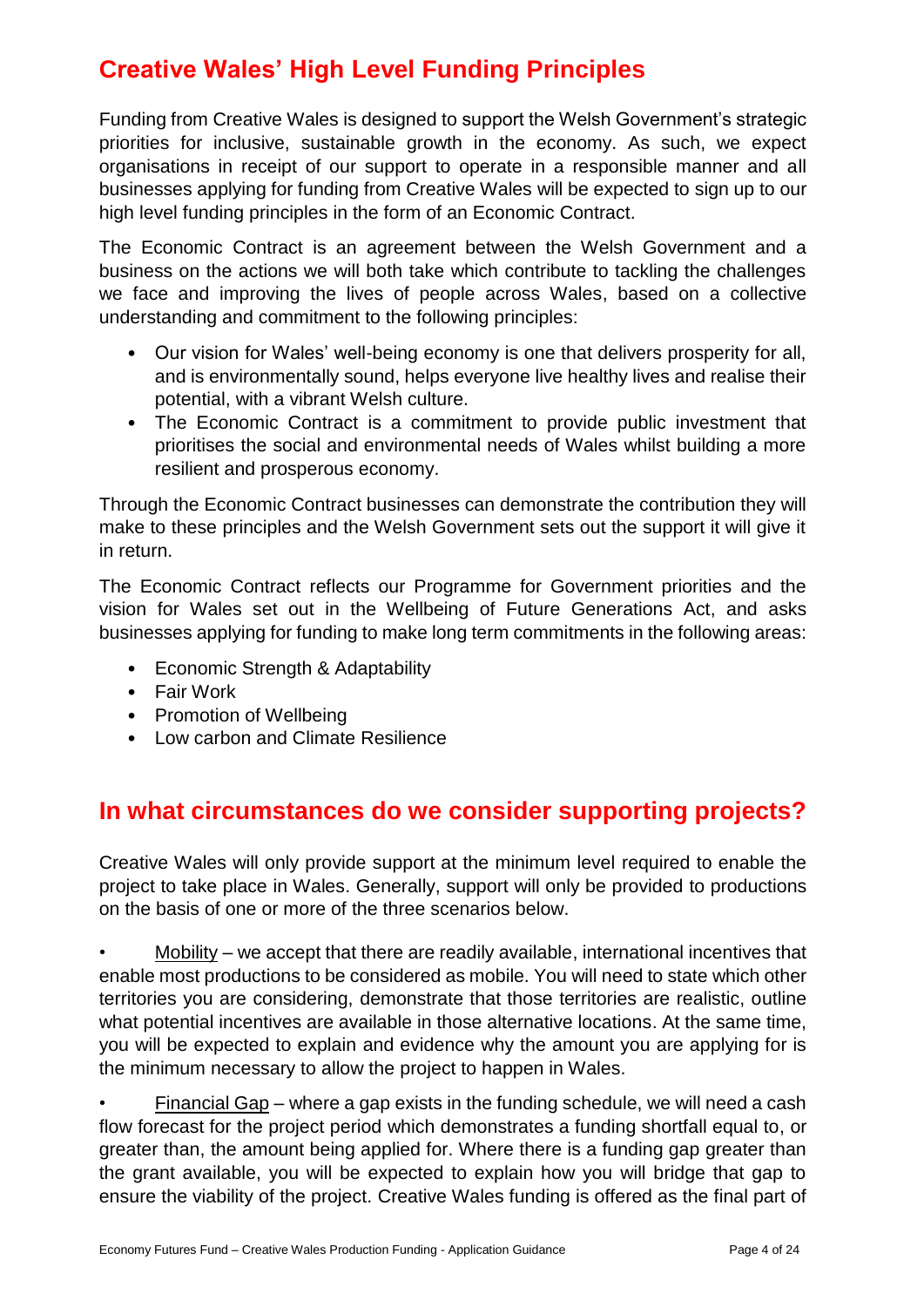# <span id="page-4-0"></span>**Creative Wales' High Level Funding Principles**

Funding from Creative Wales is designed to support the Welsh Government's strategic priorities for inclusive, sustainable growth in the economy. As such, we expect organisations in receipt of our support to operate in a responsible manner and all businesses applying for funding from Creative Wales will be expected to sign up to our high level funding principles in the form of an Economic Contract.

The Economic Contract is an agreement between the Welsh Government and a business on the actions we will both take which contribute to tackling the challenges we face and improving the lives of people across Wales, based on a collective understanding and commitment to the following principles:

- Our vision for Wales' well-being economy is one that delivers prosperity for all, and is environmentally sound, helps everyone live healthy lives and realise their potential, with a vibrant Welsh culture.
- The Economic Contract is a commitment to provide public investment that prioritises the social and environmental needs of Wales whilst building a more resilient and prosperous economy.

Through the Economic Contract businesses can demonstrate the contribution they will make to these principles and the Welsh Government sets out the support it will give it in return.

The Economic Contract reflects our Programme for Government priorities and the vision for Wales set out in the Wellbeing of Future Generations Act, and asks businesses applying for funding to make long term commitments in the following areas:

- Economic Strength & Adaptability
- Fair Work
- Promotion of Wellbeing
- Low carbon and Climate Resilience

# <span id="page-4-1"></span>**In what circumstances do we consider supporting projects?**

Creative Wales will only provide support at the minimum level required to enable the project to take place in Wales. Generally, support will only be provided to productions on the basis of one or more of the three scenarios below.

• Mobility – we accept that there are readily available, international incentives that enable most productions to be considered as mobile. You will need to state which other territories you are considering, demonstrate that those territories are realistic, outline what potential incentives are available in those alternative locations. At the same time, you will be expected to explain and evidence why the amount you are applying for is the minimum necessary to allow the project to happen in Wales.

• Financial Gap – where a gap exists in the funding schedule, we will need a cash flow forecast for the project period which demonstrates a funding shortfall equal to, or greater than, the amount being applied for. Where there is a funding gap greater than the grant available, you will be expected to explain how you will bridge that gap to ensure the viability of the project. Creative Wales funding is offered as the final part of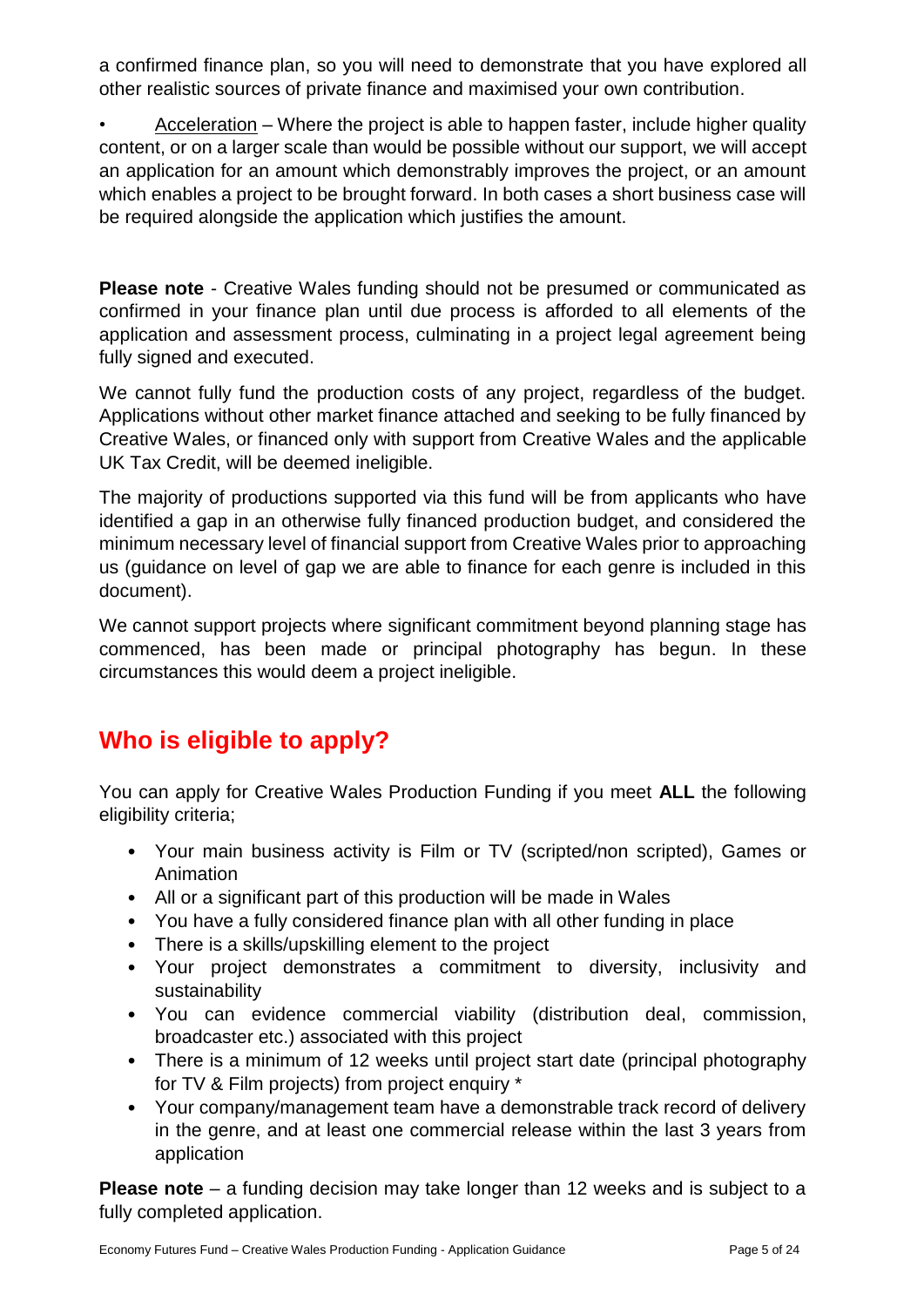a confirmed finance plan, so you will need to demonstrate that you have explored all other realistic sources of private finance and maximised your own contribution.

• Acceleration – Where the project is able to happen faster, include higher quality content, or on a larger scale than would be possible without our support, we will accept an application for an amount which demonstrably improves the project, or an amount which enables a project to be brought forward. In both cases a short business case will be required alongside the application which justifies the amount.

**Please note** - Creative Wales funding should not be presumed or communicated as confirmed in your finance plan until due process is afforded to all elements of the application and assessment process, culminating in a project legal agreement being fully signed and executed.

We cannot fully fund the production costs of any project, regardless of the budget. Applications without other market finance attached and seeking to be fully financed by Creative Wales, or financed only with support from Creative Wales and the applicable UK Tax Credit, will be deemed ineligible.

The majority of productions supported via this fund will be from applicants who have identified a gap in an otherwise fully financed production budget, and considered the minimum necessary level of financial support from Creative Wales prior to approaching us (guidance on level of gap we are able to finance for each genre is included in this document).

We cannot support projects where significant commitment beyond planning stage has commenced, has been made or principal photography has begun. In these circumstances this would deem a project ineligible.

# <span id="page-5-0"></span>**Who is eligible to apply?**

You can apply for Creative Wales Production Funding if you meet **ALL** the following eligibility criteria;

- Your main business activity is Film or TV (scripted/non scripted), Games or Animation
- All or a significant part of this production will be made in Wales
- You have a fully considered finance plan with all other funding in place
- There is a skills/upskilling element to the project
- Your project demonstrates a commitment to diversity, inclusivity and sustainability
- You can evidence commercial viability (distribution deal, commission, broadcaster etc.) associated with this project
- There is a minimum of 12 weeks until project start date (principal photography for TV & Film projects) from project enquiry \*
- Your company/management team have a demonstrable track record of delivery in the genre, and at least one commercial release within the last 3 years from application

**Please note** – a funding decision may take longer than 12 weeks and is subject to a fully completed application.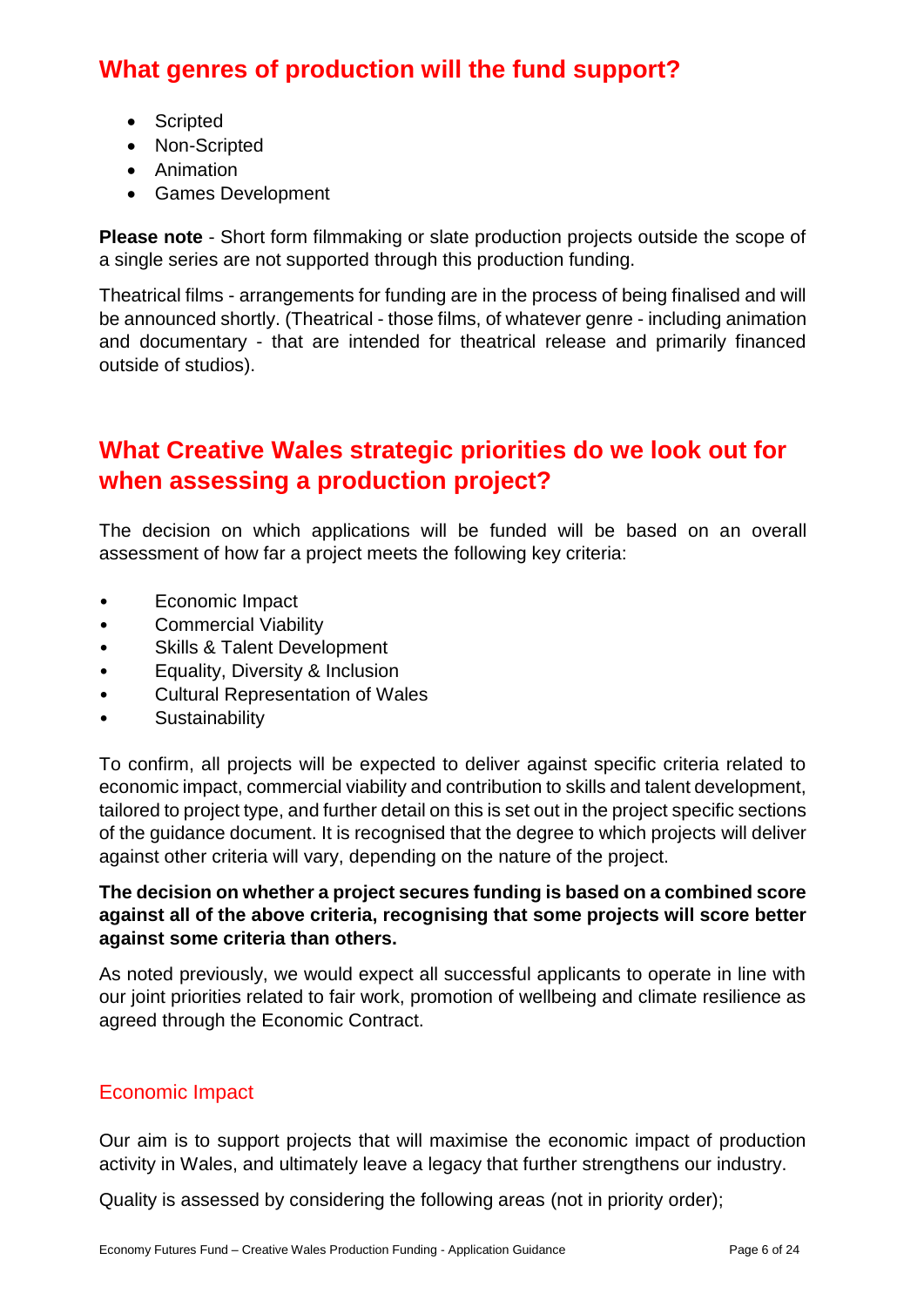# <span id="page-6-0"></span>**What genres of production will the fund support?**

- Scripted
- Non-Scripted
- Animation
- Games Development

**Please note** - Short form filmmaking or slate production projects outside the scope of a single series are not supported through this production funding.

Theatrical films - arrangements for funding are in the process of being finalised and will be announced shortly. (Theatrical - those films, of whatever genre - including animation and documentary - that are intended for theatrical release and primarily financed outside of studios).

# <span id="page-6-1"></span>**What Creative Wales strategic priorities do we look out for when assessing a production project?**

The decision on which applications will be funded will be based on an overall assessment of how far a project meets the following key criteria:

- Economic Impact
- Commercial Viability
- Skills & Talent Development
- Equality, Diversity & Inclusion
- Cultural Representation of Wales
- **Sustainability**

To confirm, all projects will be expected to deliver against specific criteria related to economic impact, commercial viability and contribution to skills and talent development, tailored to project type, and further detail on this is set out in the project specific sections of the guidance document. It is recognised that the degree to which projects will deliver against other criteria will vary, depending on the nature of the project.

#### **The decision on whether a project secures funding is based on a combined score against all of the above criteria, recognising that some projects will score better against some criteria than others.**

As noted previously, we would expect all successful applicants to operate in line with our joint priorities related to fair work, promotion of wellbeing and climate resilience as agreed through the Economic Contract.

### <span id="page-6-2"></span>Economic Impact

Our aim is to support projects that will maximise the economic impact of production activity in Wales, and ultimately leave a legacy that further strengthens our industry.

Quality is assessed by considering the following areas (not in priority order);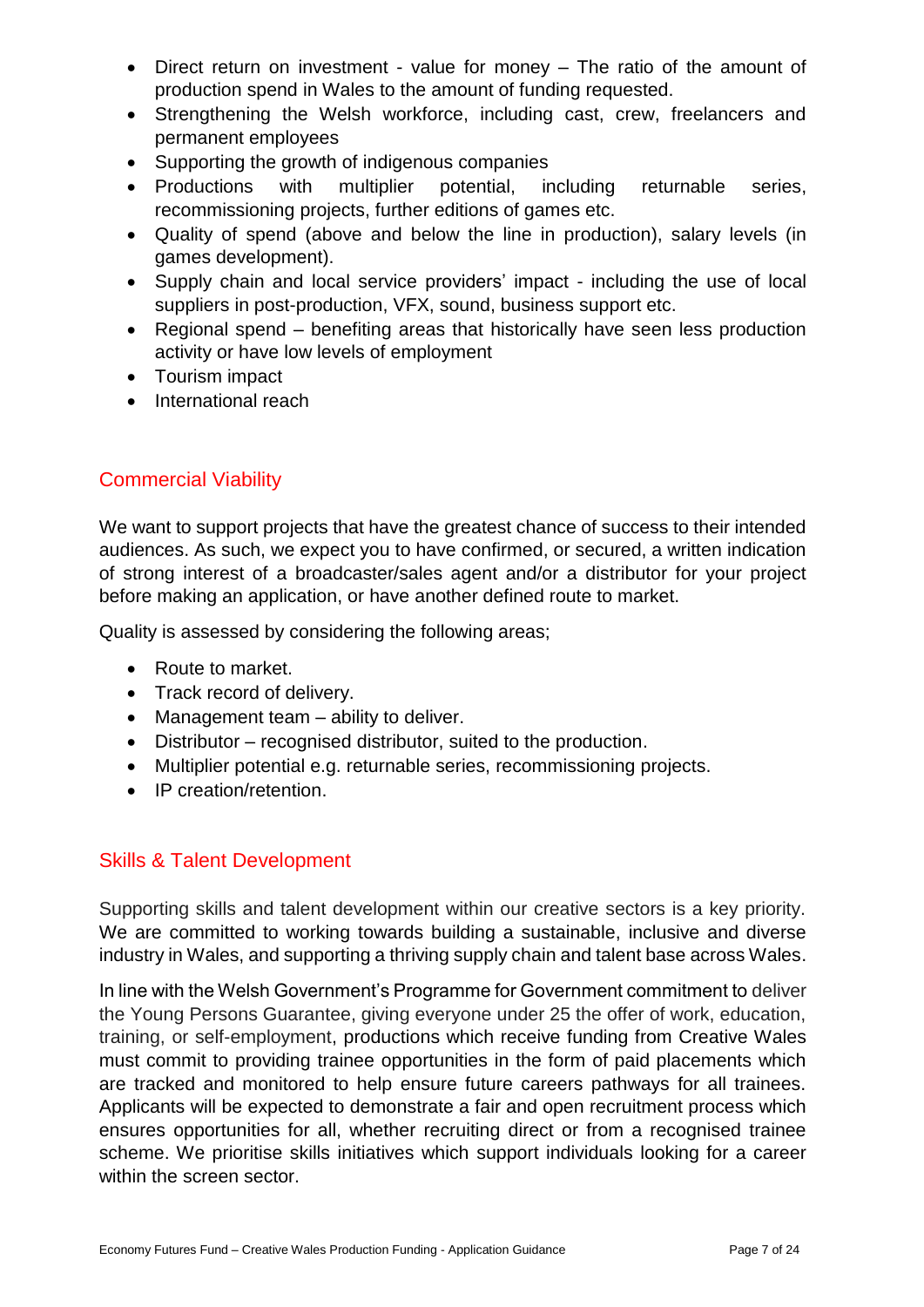- Direct return on investment value for money The ratio of the amount of production spend in Wales to the amount of funding requested.
- Strengthening the Welsh workforce, including cast, crew, freelancers and permanent employees
- Supporting the growth of indigenous companies
- Productions with multiplier potential, including returnable series, recommissioning projects, further editions of games etc.
- Quality of spend (above and below the line in production), salary levels (in games development).
- Supply chain and local service providers' impact including the use of local suppliers in post-production, VFX, sound, business support etc.
- Regional spend benefiting areas that historically have seen less production activity or have low levels of employment
- Tourism impact
- International reach

# <span id="page-7-0"></span>Commercial Viability

We want to support projects that have the greatest chance of success to their intended audiences. As such, we expect you to have confirmed, or secured, a written indication of strong interest of a broadcaster/sales agent and/or a distributor for your project before making an application, or have another defined route to market.

Quality is assessed by considering the following areas;

- Route to market.
- Track record of delivery.
- Management team ability to deliver.
- Distributor recognised distributor, suited to the production.
- Multiplier potential e.g. returnable series, recommissioning projects.
- IP creation/retention.

### <span id="page-7-1"></span>Skills & Talent Development

Supporting skills and talent development within our creative sectors is a key priority. We are committed to working towards building a sustainable, inclusive and diverse industry in Wales, and supporting a thriving supply chain and talent base across Wales.

In line with the Welsh Government's Programme for Government commitment to deliver the Young Persons Guarantee, giving everyone under 25 the offer of work, education, training, or self-employment, productions which receive funding from Creative Wales must commit to providing trainee opportunities in the form of paid placements which are tracked and monitored to help ensure future careers pathways for all trainees. Applicants will be expected to demonstrate a fair and open recruitment process which ensures opportunities for all, whether recruiting direct or from a recognised trainee scheme. We prioritise skills initiatives which support individuals looking for a career within the screen sector.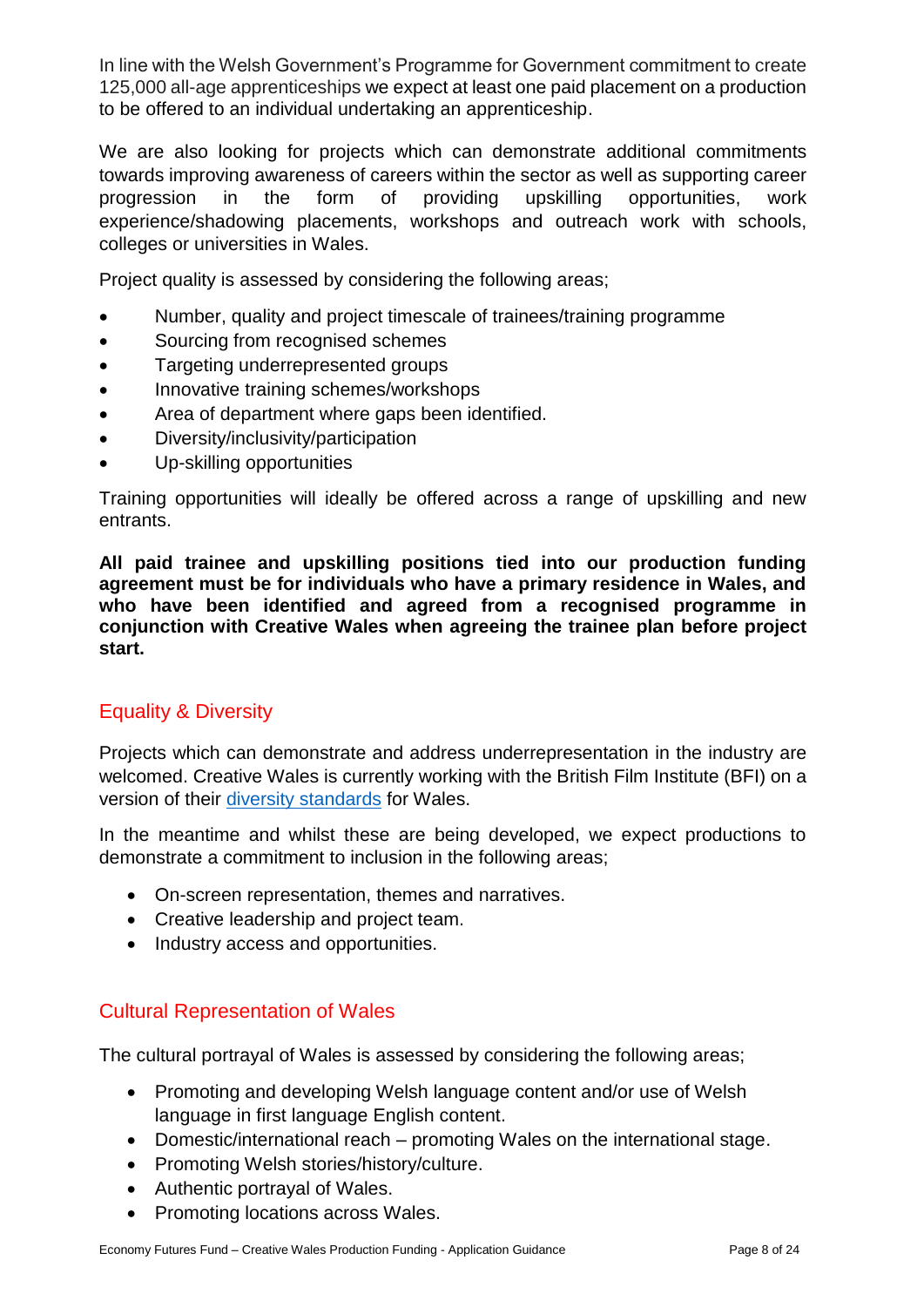In line with the Welsh Government's Programme for Government commitment to create 125,000 all-age apprenticeships we expect at least one paid placement on a production to be offered to an individual undertaking an apprenticeship.

We are also looking for projects which can demonstrate additional commitments towards improving awareness of careers within the sector as well as supporting career progression in the form of providing upskilling opportunities, work experience/shadowing placements, workshops and outreach work with schools, colleges or universities in Wales.

Project quality is assessed by considering the following areas;

- Number, quality and project timescale of trainees/training programme
- Sourcing from recognised schemes
- Targeting underrepresented groups
- Innovative training schemes/workshops
- Area of department where gaps been identified.
- Diversity/inclusivity/participation
- Up-skilling opportunities

Training opportunities will ideally be offered across a range of upskilling and new entrants.

**All paid trainee and upskilling positions tied into our production funding agreement must be for individuals who have a primary residence in Wales, and who have been identified and agreed from a recognised programme in conjunction with Creative Wales when agreeing the trainee plan before project start.**

## <span id="page-8-0"></span>Equality & Diversity

Projects which can demonstrate and address underrepresentation in the industry are welcomed. Creative Wales is currently working with the British Film Institute (BFI) on a version of their [diversity standards](https://www.bfi.org.uk/inclusion-film-industry/bfi-diversity-standards) for Wales.

In the meantime and whilst these are being developed, we expect productions to demonstrate a commitment to inclusion in the following areas;

- On-screen representation, themes and narratives.
- Creative leadership and project team.
- Industry access and opportunities.

### <span id="page-8-1"></span>Cultural Representation of Wales

The cultural portrayal of Wales is assessed by considering the following areas;

- Promoting and developing Welsh language content and/or use of Welsh language in first language English content.
- Domestic/international reach promoting Wales on the international stage.
- Promoting Welsh stories/history/culture.
- Authentic portrayal of Wales.
- Promoting locations across Wales.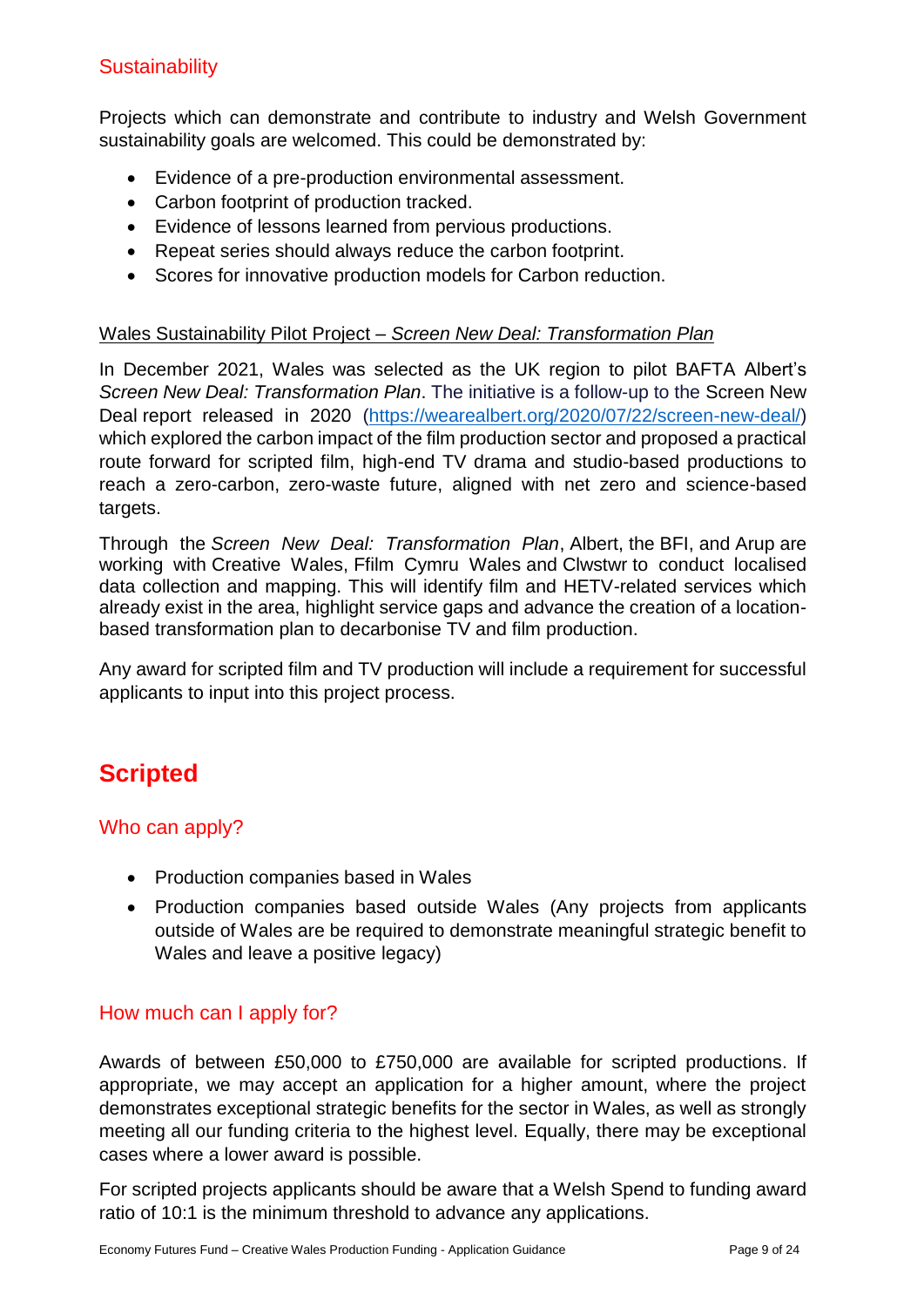## <span id="page-9-0"></span>**Sustainability**

Projects which can demonstrate and contribute to industry and Welsh Government sustainability goals are welcomed. This could be demonstrated by:

- Evidence of a pre-production environmental assessment.
- Carbon footprint of production tracked.
- Evidence of lessons learned from pervious productions.
- Repeat series should always reduce the carbon footprint.
- Scores for innovative production models for Carbon reduction.

#### Wales Sustainability Pilot Project – *Screen New Deal: Transformation Plan*

In December 2021, Wales was selected as the UK region to pilot BAFTA Albert's *Screen New Deal: Transformation Plan*. The initiative is a follow-up to the Screen New Deal report released in 2020 [\(https://wearealbert.org/2020/07/22/screen-new-deal/\)](https://eur01.safelinks.protection.outlook.com/?url=https%3A%2F%2Fwearealbert.org%2F2020%2F07%2F22%2Fscreen-new-deal%2F&data=04%7C01%7CJon.Walters%40gov.wales%7C0c114e8fbca04a29566e08d9f6cf038e%7Ca2cc36c592804ae78887d06dab89216b%7C0%7C0%7C637812191670804605%7CUnknown%7CTWFpbGZsb3d8eyJWIjoiMC4wLjAwMDAiLCJQIjoiV2luMzIiLCJBTiI6Ik1haWwiLCJXVCI6Mn0%3D%7C3000&sdata=IjyYGKUt%2BaXL0ft97pFFzWQfjoxVCJdk8HeBKz0TiJA%3D&reserved=0) which explored the carbon impact of the film production sector and proposed a practical route forward for scripted film, high-end TV drama and studio-based productions to reach a zero-carbon, zero-waste future, aligned with net zero and science-based targets.

Through the *Screen New Deal: Transformation Plan*, Albert, the BFI, and Arup are working with Creative Wales, Ffilm Cymru Wales and Clwstwr to conduct localised data collection and mapping. This will identify film and HETV-related services which already exist in the area, highlight service gaps and advance the creation of a locationbased transformation plan to decarbonise TV and film production.

Any award for scripted film and TV production will include a requirement for successful applicants to input into this project process.

# <span id="page-9-1"></span>**Scripted**

### <span id="page-9-2"></span>Who can apply?

- Production companies based in Wales
- Production companies based outside Wales (Any projects from applicants outside of Wales are be required to demonstrate meaningful strategic benefit to Wales and leave a positive legacy)

### <span id="page-9-3"></span>How much can I apply for?

Awards of between £50,000 to £750,000 are available for scripted productions. If appropriate, we may accept an application for a higher amount, where the project demonstrates exceptional strategic benefits for the sector in Wales, as well as strongly meeting all our funding criteria to the highest level. Equally, there may be exceptional cases where a lower award is possible.

For scripted projects applicants should be aware that a Welsh Spend to funding award ratio of 10:1 is the minimum threshold to advance any applications.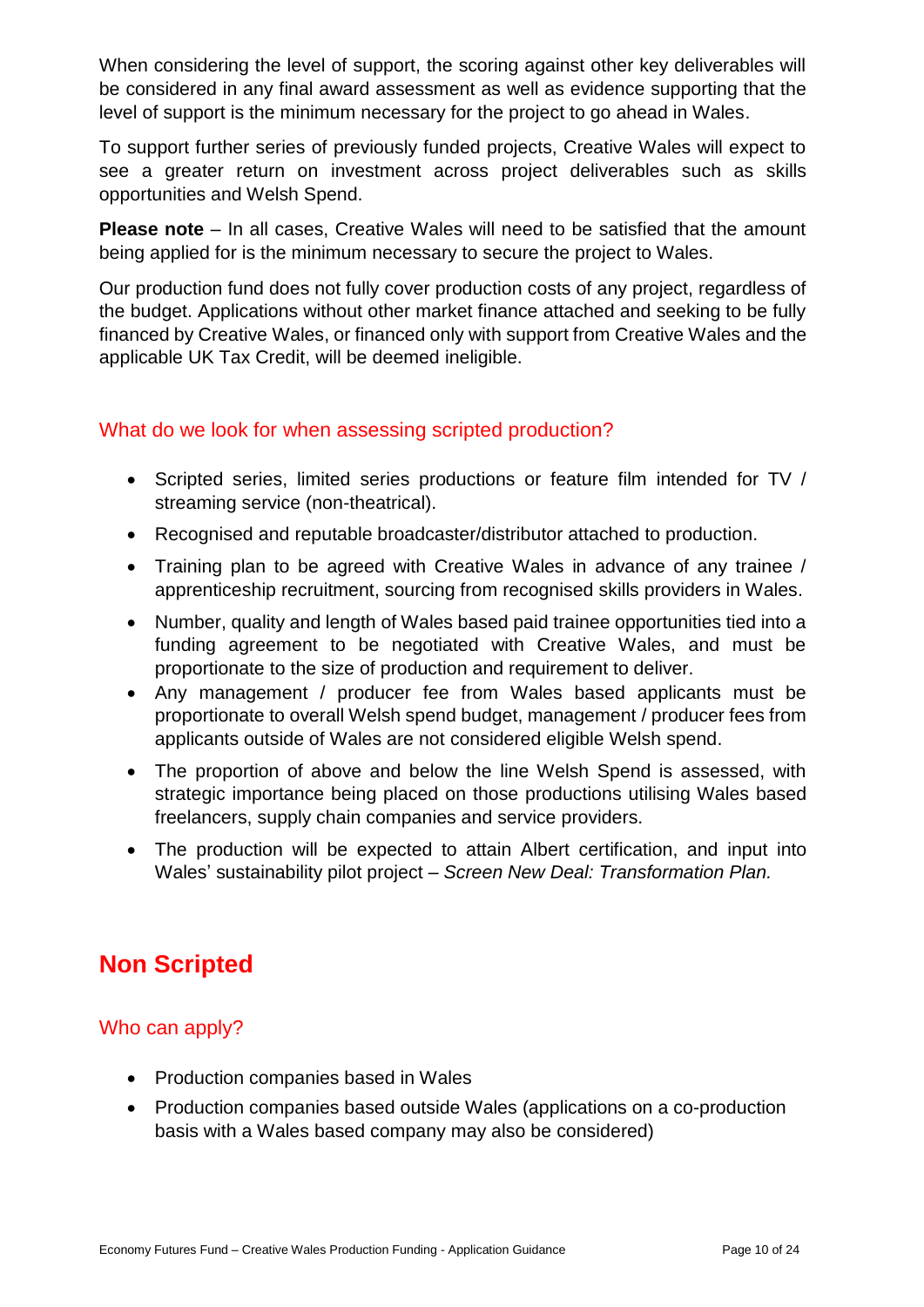When considering the level of support, the scoring against other key deliverables will be considered in any final award assessment as well as evidence supporting that the level of support is the minimum necessary for the project to go ahead in Wales.

To support further series of previously funded projects, Creative Wales will expect to see a greater return on investment across project deliverables such as skills opportunities and Welsh Spend.

**Please note** – In all cases, Creative Wales will need to be satisfied that the amount being applied for is the minimum necessary to secure the project to Wales.

Our production fund does not fully cover production costs of any project, regardless of the budget. Applications without other market finance attached and seeking to be fully financed by Creative Wales, or financed only with support from Creative Wales and the applicable UK Tax Credit, will be deemed ineligible.

### <span id="page-10-0"></span>What do we look for when assessing scripted production?

- Scripted series, limited series productions or feature film intended for TV / streaming service (non-theatrical).
- Recognised and reputable broadcaster/distributor attached to production.
- Training plan to be agreed with Creative Wales in advance of any trainee / apprenticeship recruitment, sourcing from recognised skills providers in Wales.
- Number, quality and length of Wales based paid trainee opportunities tied into a funding agreement to be negotiated with Creative Wales, and must be proportionate to the size of production and requirement to deliver.
- Any management / producer fee from Wales based applicants must be proportionate to overall Welsh spend budget, management / producer fees from applicants outside of Wales are not considered eligible Welsh spend.
- The proportion of above and below the line Welsh Spend is assessed, with strategic importance being placed on those productions utilising Wales based freelancers, supply chain companies and service providers.
- The production will be expected to attain Albert certification, and input into Wales' sustainability pilot project – *Screen New Deal: Transformation Plan.*

# <span id="page-10-1"></span>**Non Scripted**

## <span id="page-10-2"></span>Who can apply?

- Production companies based in Wales
- Production companies based outside Wales (applications on a co-production basis with a Wales based company may also be considered)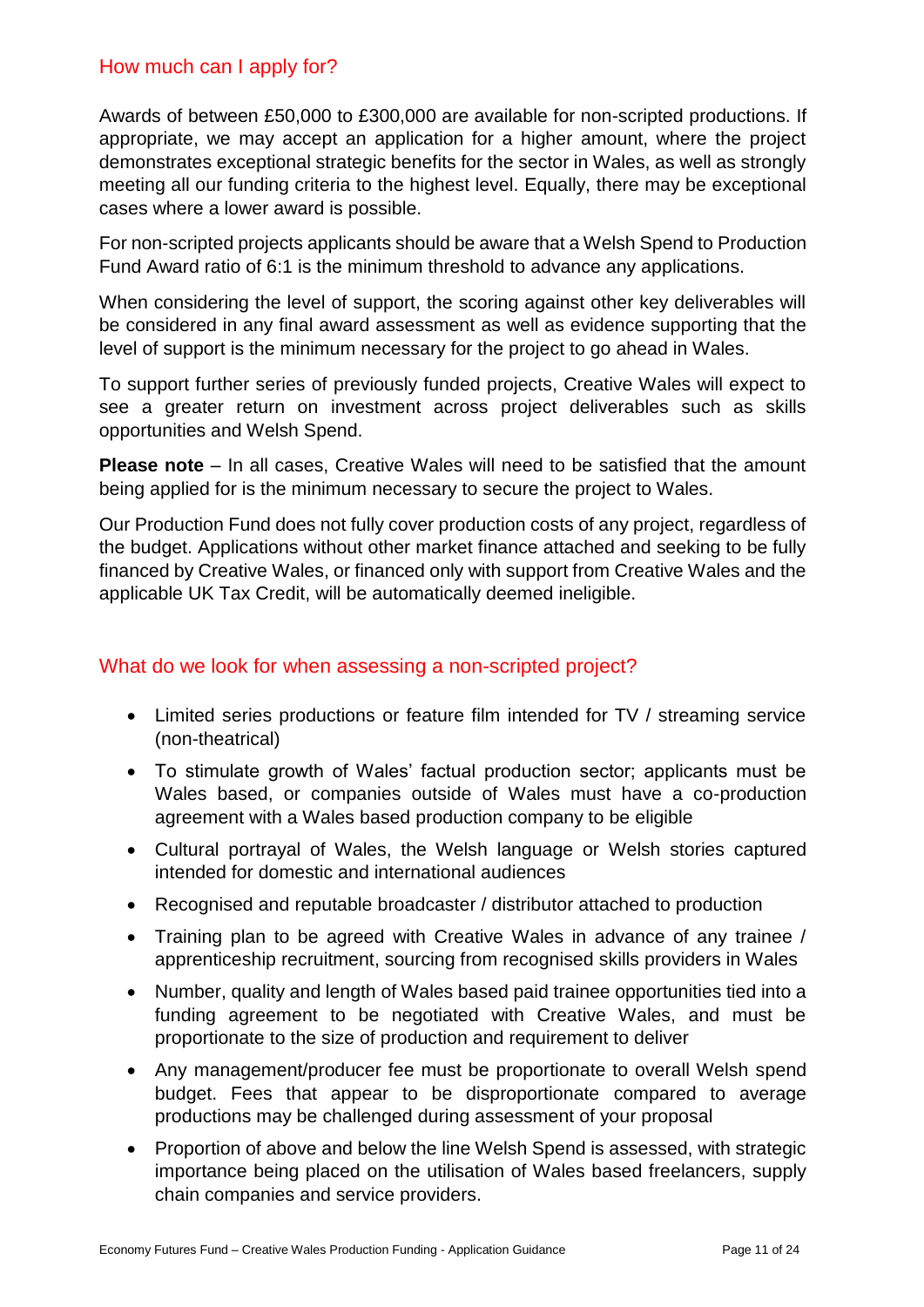#### <span id="page-11-0"></span>How much can I apply for?

Awards of between £50,000 to £300,000 are available for non-scripted productions. If appropriate, we may accept an application for a higher amount, where the project demonstrates exceptional strategic benefits for the sector in Wales, as well as strongly meeting all our funding criteria to the highest level. Equally, there may be exceptional cases where a lower award is possible.

For non-scripted projects applicants should be aware that a Welsh Spend to Production Fund Award ratio of 6:1 is the minimum threshold to advance any applications.

When considering the level of support, the scoring against other key deliverables will be considered in any final award assessment as well as evidence supporting that the level of support is the minimum necessary for the project to go ahead in Wales.

To support further series of previously funded projects, Creative Wales will expect to see a greater return on investment across project deliverables such as skills opportunities and Welsh Spend.

**Please note** – In all cases, Creative Wales will need to be satisfied that the amount being applied for is the minimum necessary to secure the project to Wales.

Our Production Fund does not fully cover production costs of any project, regardless of the budget. Applications without other market finance attached and seeking to be fully financed by Creative Wales, or financed only with support from Creative Wales and the applicable UK Tax Credit, will be automatically deemed ineligible.

### <span id="page-11-1"></span>What do we look for when assessing a non-scripted project?

- Limited series productions or feature film intended for TV / streaming service (non-theatrical)
- To stimulate growth of Wales' factual production sector; applicants must be Wales based, or companies outside of Wales must have a co-production agreement with a Wales based production company to be eligible
- Cultural portrayal of Wales, the Welsh language or Welsh stories captured intended for domestic and international audiences
- Recognised and reputable broadcaster / distributor attached to production
- Training plan to be agreed with Creative Wales in advance of any trainee / apprenticeship recruitment, sourcing from recognised skills providers in Wales
- Number, quality and length of Wales based paid trainee opportunities tied into a funding agreement to be negotiated with Creative Wales, and must be proportionate to the size of production and requirement to deliver
- Any management/producer fee must be proportionate to overall Welsh spend budget. Fees that appear to be disproportionate compared to average productions may be challenged during assessment of your proposal
- Proportion of above and below the line Welsh Spend is assessed, with strategic importance being placed on the utilisation of Wales based freelancers, supply chain companies and service providers.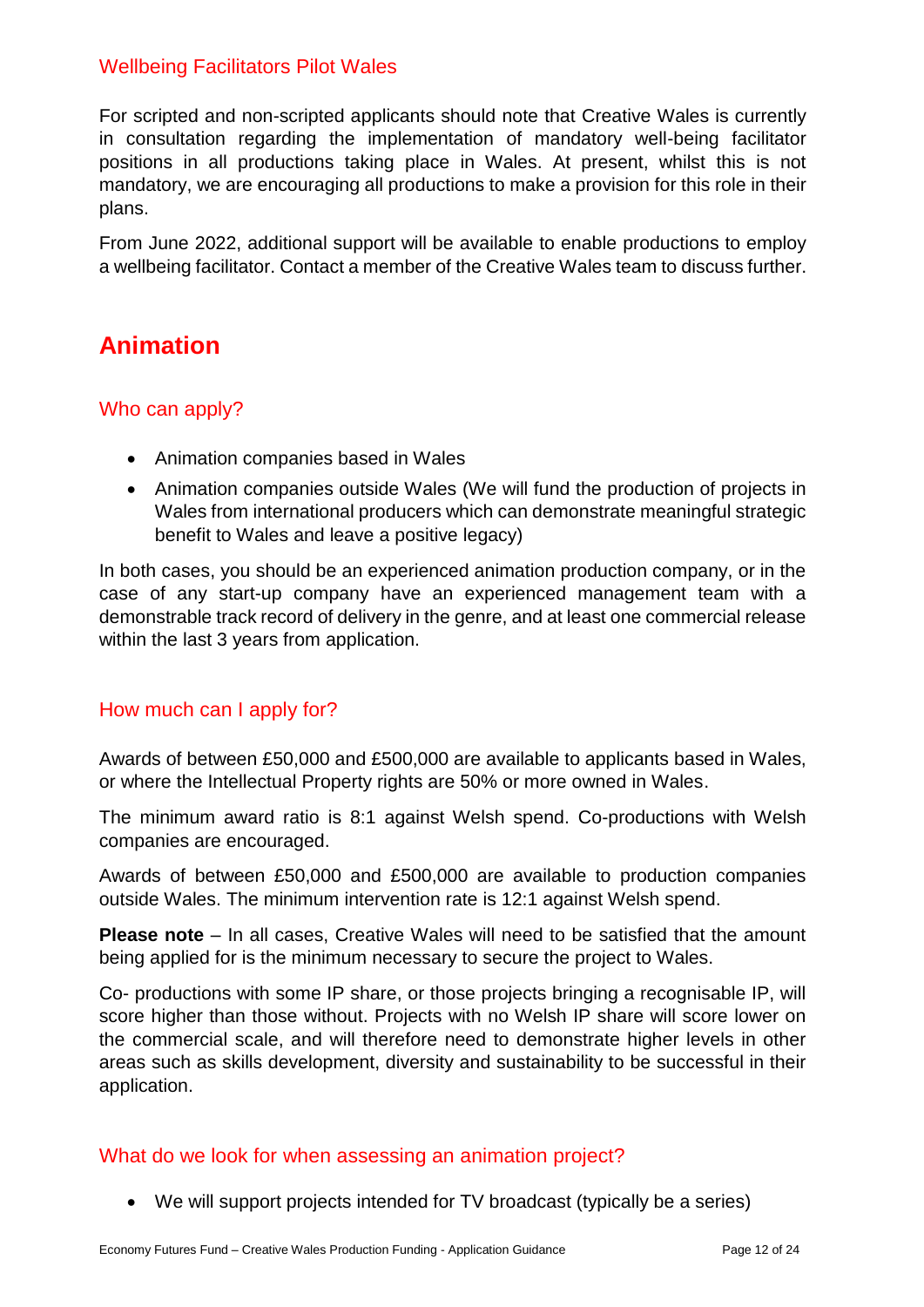### <span id="page-12-0"></span>Wellbeing Facilitators Pilot Wales

For scripted and non-scripted applicants should note that Creative Wales is currently in consultation regarding the implementation of mandatory well-being facilitator positions in all productions taking place in Wales. At present, whilst this is not mandatory, we are encouraging all productions to make a provision for this role in their plans.

From June 2022, additional support will be available to enable productions to employ a wellbeing facilitator. Contact a member of the Creative Wales team to discuss further.

# <span id="page-12-1"></span>**Animation**

### <span id="page-12-2"></span>Who can apply?

- Animation companies based in Wales
- Animation companies outside Wales (We will fund the production of projects in Wales from international producers which can demonstrate meaningful strategic benefit to Wales and leave a positive legacy)

In both cases, you should be an experienced animation production company, or in the case of any start-up company have an experienced management team with a demonstrable track record of delivery in the genre, and at least one commercial release within the last 3 years from application.

### <span id="page-12-3"></span>How much can I apply for?

Awards of between £50,000 and £500,000 are available to applicants based in Wales, or where the Intellectual Property rights are 50% or more owned in Wales.

The minimum award ratio is 8:1 against Welsh spend. Co-productions with Welsh companies are encouraged.

Awards of between £50,000 and £500,000 are available to production companies outside Wales. The minimum intervention rate is 12:1 against Welsh spend.

**Please note** – In all cases, Creative Wales will need to be satisfied that the amount being applied for is the minimum necessary to secure the project to Wales.

Co- productions with some IP share, or those projects bringing a recognisable IP, will score higher than those without. Projects with no Welsh IP share will score lower on the commercial scale, and will therefore need to demonstrate higher levels in other areas such as skills development, diversity and sustainability to be successful in their application.

#### <span id="page-12-4"></span>What do we look for when assessing an animation project?

We will support projects intended for TV broadcast (typically be a series)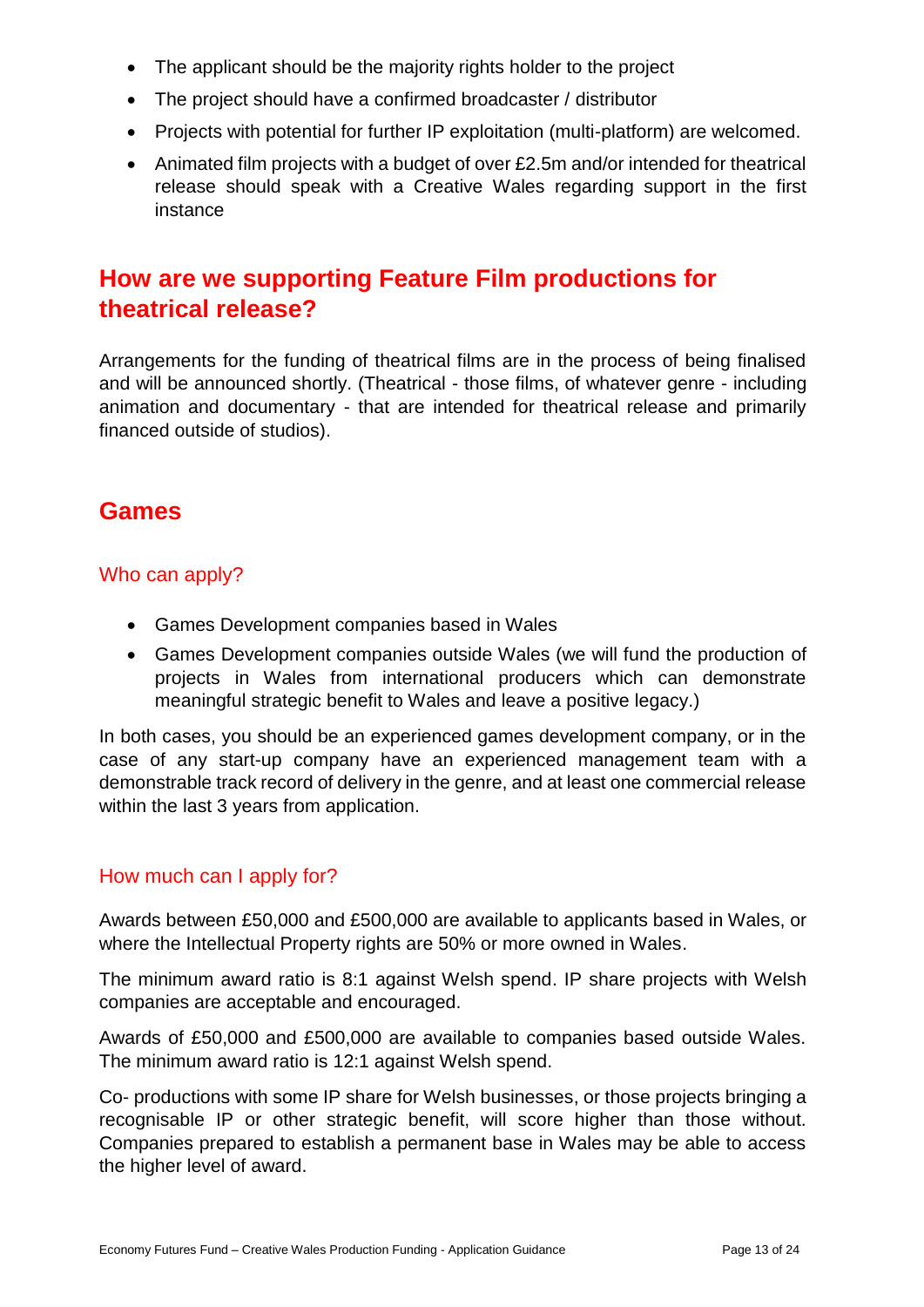- The applicant should be the majority rights holder to the project
- The project should have a confirmed broadcaster / distributor
- Projects with potential for further IP exploitation (multi-platform) are welcomed.
- Animated film projects with a budget of over £2.5m and/or intended for theatrical release should speak with a Creative Wales regarding support in the first instance

# <span id="page-13-0"></span>**How are we supporting Feature Film productions for theatrical release?**

Arrangements for the funding of theatrical films are in the process of being finalised and will be announced shortly. (Theatrical - those films, of whatever genre - including animation and documentary - that are intended for theatrical release and primarily financed outside of studios).

# <span id="page-13-1"></span>**Games**

### <span id="page-13-2"></span>Who can apply?

- Games Development companies based in Wales
- Games Development companies outside Wales (we will fund the production of projects in Wales from international producers which can demonstrate meaningful strategic benefit to Wales and leave a positive legacy.)

In both cases, you should be an experienced games development company, or in the case of any start-up company have an experienced management team with a demonstrable track record of delivery in the genre, and at least one commercial release within the last 3 years from application.

### <span id="page-13-3"></span>How much can I apply for?

Awards between £50,000 and £500,000 are available to applicants based in Wales, or where the Intellectual Property rights are 50% or more owned in Wales.

The minimum award ratio is 8:1 against Welsh spend. IP share projects with Welsh companies are acceptable and encouraged.

Awards of £50,000 and £500,000 are available to companies based outside Wales. The minimum award ratio is 12:1 against Welsh spend.

Co- productions with some IP share for Welsh businesses, or those projects bringing a recognisable IP or other strategic benefit, will score higher than those without. Companies prepared to establish a permanent base in Wales may be able to access the higher level of award.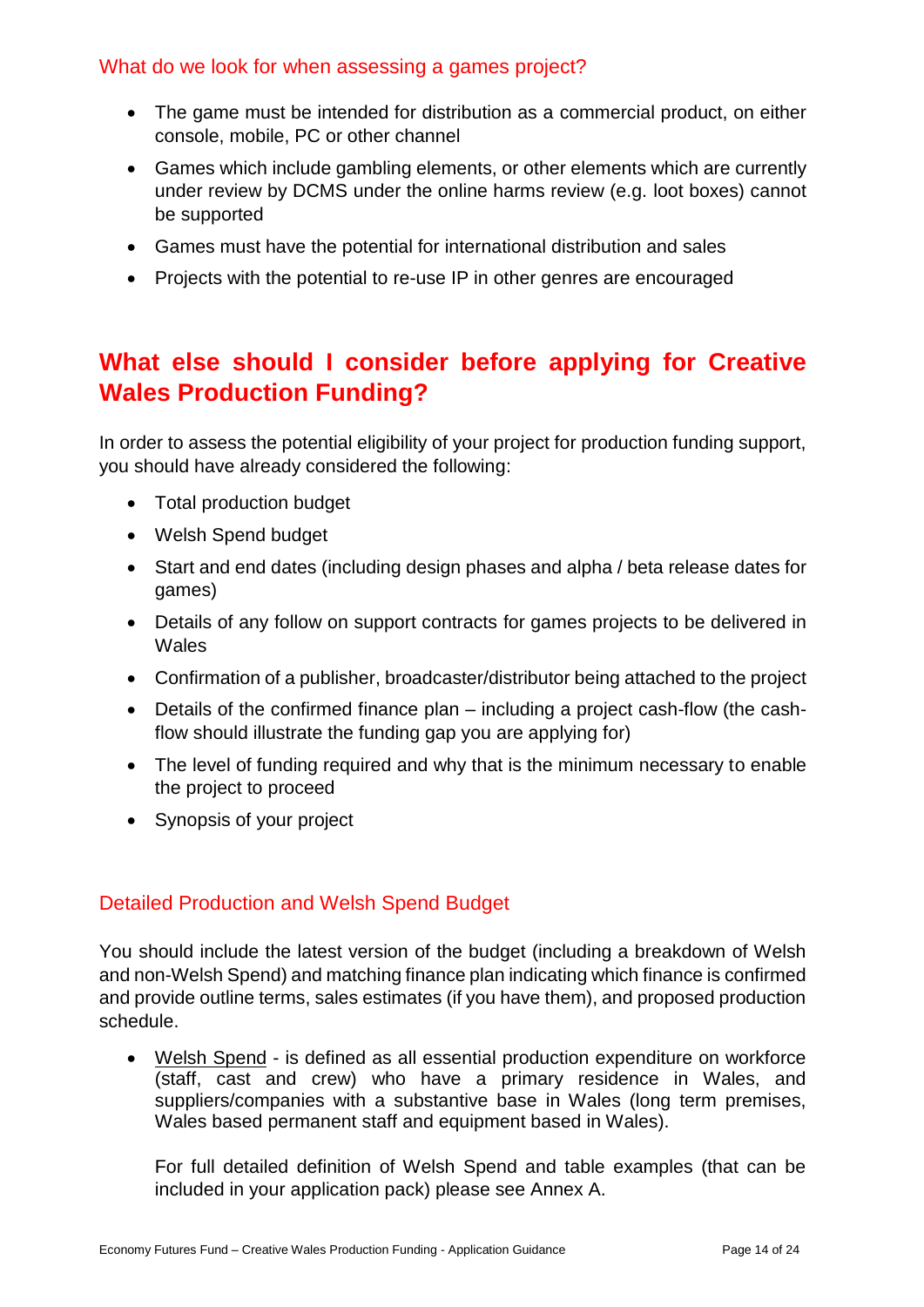#### <span id="page-14-0"></span>What do we look for when assessing a games project?

- The game must be intended for distribution as a commercial product, on either console, mobile, PC or other channel
- Games which include gambling elements, or other elements which are currently under review by DCMS under the online harms review (e.g. loot boxes) cannot be supported
- Games must have the potential for international distribution and sales
- Projects with the potential to re-use IP in other genres are encouraged

# <span id="page-14-1"></span>**What else should I consider before applying for Creative Wales Production Funding?**

In order to assess the potential eligibility of your project for production funding support, you should have already considered the following:

- Total production budget
- Welsh Spend budget
- Start and end dates (including design phases and alpha / beta release dates for games)
- Details of any follow on support contracts for games projects to be delivered in Wales
- Confirmation of a publisher, broadcaster/distributor being attached to the project
- Details of the confirmed finance plan including a project cash-flow (the cashflow should illustrate the funding gap you are applying for)
- The level of funding required and why that is the minimum necessary to enable the project to proceed
- Synopsis of your project

### <span id="page-14-2"></span>Detailed Production and Welsh Spend Budget

You should include the latest version of the budget (including a breakdown of Welsh and non-Welsh Spend) and matching finance plan indicating which finance is confirmed and provide outline terms, sales estimates (if you have them), and proposed production schedule.

 Welsh Spend - is defined as all essential production expenditure on workforce (staff, cast and crew) who have a primary residence in Wales, and suppliers/companies with a substantive base in Wales (long term premises, Wales based permanent staff and equipment based in Wales).

For full detailed definition of Welsh Spend and table examples (that can be included in your application pack) please see Annex A.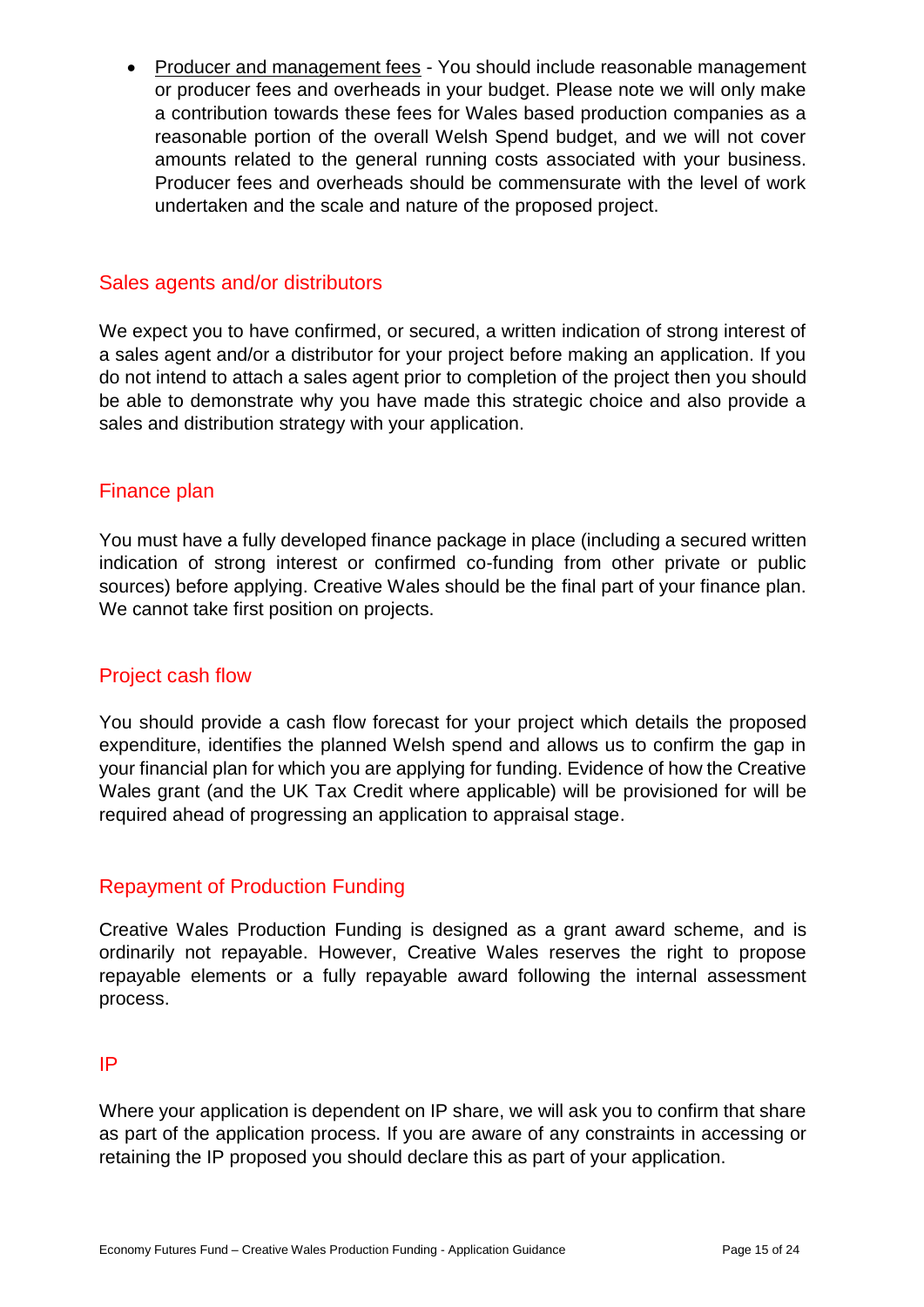• Producer and management fees - You should include reasonable management or producer fees and overheads in your budget. Please note we will only make a contribution towards these fees for Wales based production companies as a reasonable portion of the overall Welsh Spend budget, and we will not cover amounts related to the general running costs associated with your business. Producer fees and overheads should be commensurate with the level of work undertaken and the scale and nature of the proposed project.

#### <span id="page-15-0"></span>Sales agents and/or distributors

We expect you to have confirmed, or secured, a written indication of strong interest of a sales agent and/or a distributor for your project before making an application. If you do not intend to attach a sales agent prior to completion of the project then you should be able to demonstrate why you have made this strategic choice and also provide a sales and distribution strategy with your application.

#### <span id="page-15-1"></span>Finance plan

You must have a fully developed finance package in place (including a secured written indication of strong interest or confirmed co-funding from other private or public sources) before applying. Creative Wales should be the final part of your finance plan. We cannot take first position on projects.

#### <span id="page-15-2"></span>Project cash flow

You should provide a cash flow forecast for your project which details the proposed expenditure, identifies the planned Welsh spend and allows us to confirm the gap in your financial plan for which you are applying for funding. Evidence of how the Creative Wales grant (and the UK Tax Credit where applicable) will be provisioned for will be required ahead of progressing an application to appraisal stage.

#### <span id="page-15-3"></span>Repayment of Production Funding

Creative Wales Production Funding is designed as a grant award scheme, and is ordinarily not repayable. However, Creative Wales reserves the right to propose repayable elements or a fully repayable award following the internal assessment process.

#### <span id="page-15-4"></span>IP

Where your application is dependent on IP share, we will ask you to confirm that share as part of the application process. If you are aware of any constraints in accessing or retaining the IP proposed you should declare this as part of your application.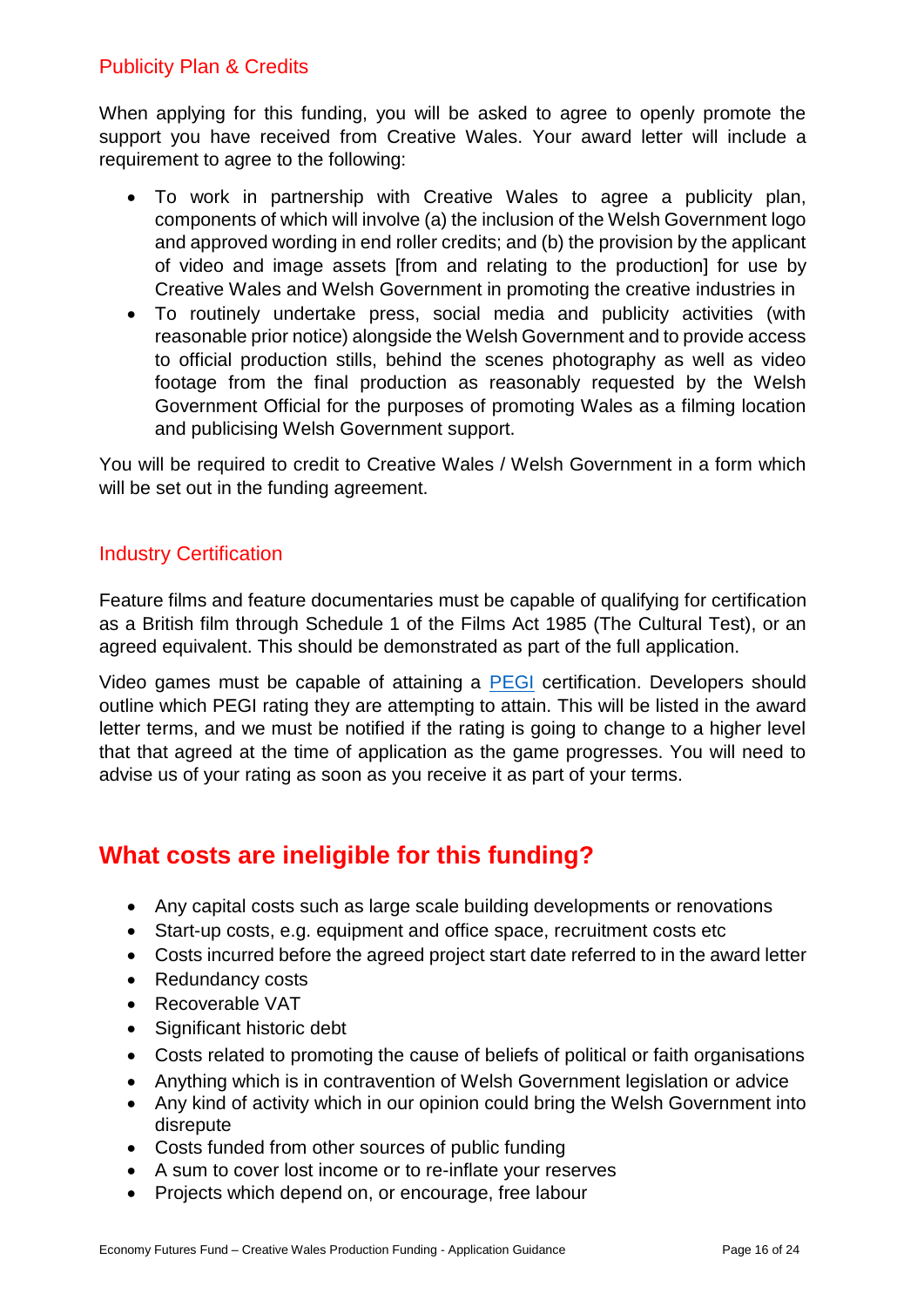## <span id="page-16-0"></span>Publicity Plan & Credits

When applying for this funding, you will be asked to agree to openly promote the support you have received from Creative Wales. Your award letter will include a requirement to agree to the following:

- To work in partnership with Creative Wales to agree a publicity plan, components of which will involve (a) the inclusion of the Welsh Government logo and approved wording in end roller credits; and (b) the provision by the applicant of video and image assets [from and relating to the production] for use by Creative Wales and Welsh Government in promoting the creative industries in
- To routinely undertake press, social media and publicity activities (with reasonable prior notice) alongside the Welsh Government and to provide access to official production stills, behind the scenes photography as well as video footage from the final production as reasonably requested by the Welsh Government Official for the purposes of promoting Wales as a filming location and publicising Welsh Government support.

You will be required to credit to Creative Wales / Welsh Government in a form which will be set out in the funding agreement.

### <span id="page-16-1"></span>Industry Certification

Feature films and feature documentaries must be capable of qualifying for certification as a British film through Schedule 1 of the Films Act 1985 (The Cultural Test), or an agreed equivalent. This should be demonstrated as part of the full application.

Video games must be capable of attaining a [PEGI](https://videostandards.org.uk/RatingBoard/ratings-downloads) certification. Developers should outline which PEGI rating they are attempting to attain. This will be listed in the award letter terms, and we must be notified if the rating is going to change to a higher level that that agreed at the time of application as the game progresses. You will need to advise us of your rating as soon as you receive it as part of your terms.

# <span id="page-16-2"></span>**What costs are ineligible for this funding?**

- Any capital costs such as large scale building developments or renovations
- Start-up costs, e.g. equipment and office space, recruitment costs etc
- Costs incurred before the agreed project start date referred to in the award letter
- Redundancy costs
- Recoverable VAT
- Significant historic debt
- Costs related to promoting the cause of beliefs of political or faith organisations
- Anything which is in contravention of Welsh Government legislation or advice
- Any kind of activity which in our opinion could bring the Welsh Government into disrepute
- Costs funded from other sources of public funding
- A sum to cover lost income or to re-inflate your reserves
- Projects which depend on, or encourage, free labour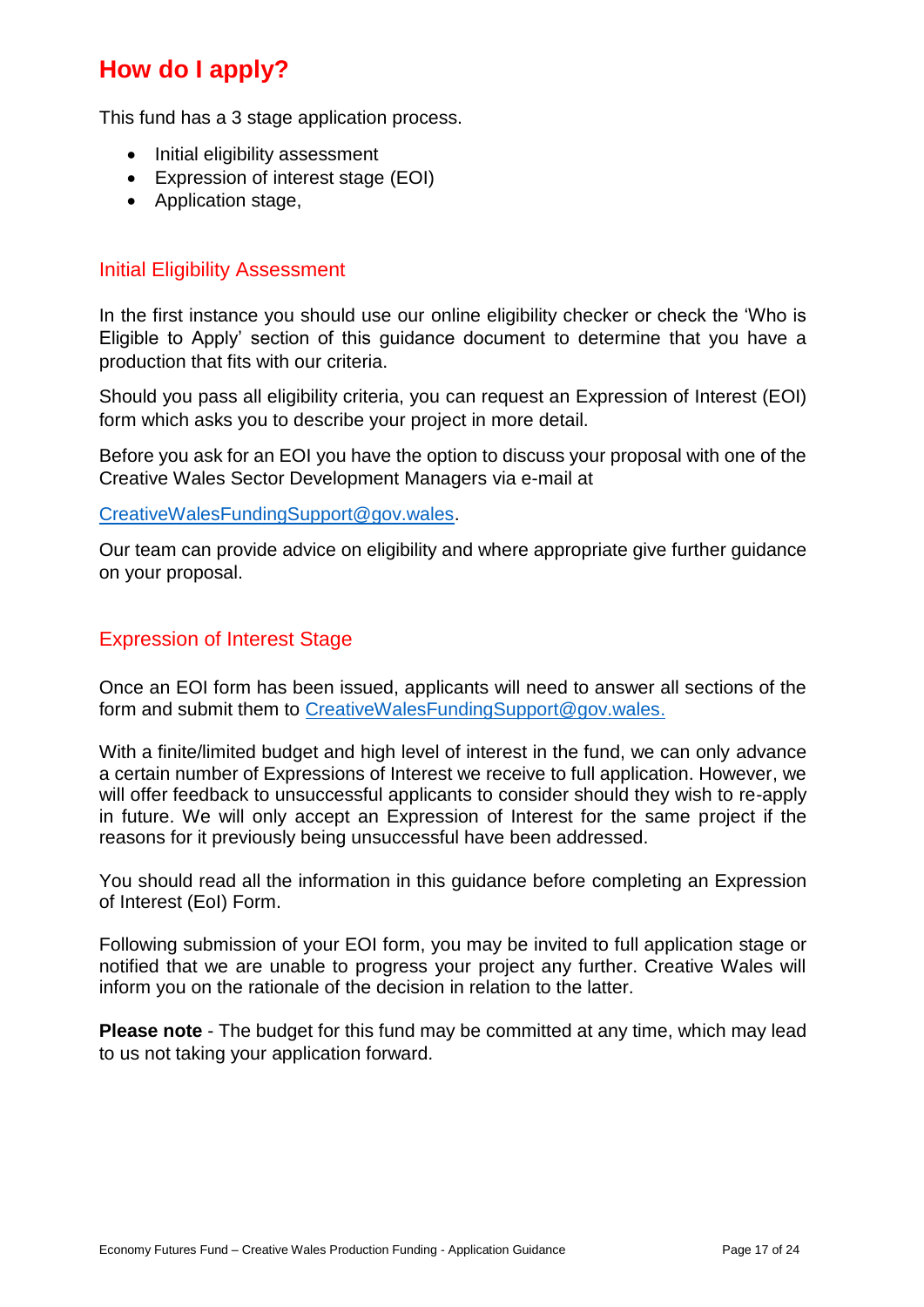# <span id="page-17-0"></span>**How do I apply?**

This fund has a 3 stage application process.

- Initial eligibility assessment
- Expression of interest stage (EOI)
- Application stage,

#### <span id="page-17-1"></span>Initial Eligibility Assessment

In the first instance you should use our online eligibility checker or check the 'Who is Eligible to Apply' section of this guidance document to determine that you have a production that fits with our criteria.

Should you pass all eligibility criteria, you can request an Expression of Interest (EOI) form which asks you to describe your project in more detail.

Before you ask for an EOI you have the option to discuss your proposal with one of the Creative Wales Sector Development Managers via e-mail at

[CreativeWalesFundingSupport@gov.wales.](mailto:CreativeWalesFundingSupport@gov.wales)

Our team can provide advice on eligibility and where appropriate give further guidance on your proposal.

#### <span id="page-17-2"></span>Expression of Interest Stage

Once an EOI form has been issued, applicants will need to answer all sections of the form and submit them to [CreativeWalesFundingSupport@gov.wales.](mailto:CreativeWalesFundingSupport@gov.wales)

With a finite/limited budget and high level of interest in the fund, we can only advance a certain number of Expressions of Interest we receive to full application. However, we will offer feedback to unsuccessful applicants to consider should they wish to re-apply in future. We will only accept an Expression of Interest for the same project if the reasons for it previously being unsuccessful have been addressed.

You should read all the information in this guidance before completing an Expression of Interest (EoI) Form.

Following submission of your EOI form, you may be invited to full application stage or notified that we are unable to progress your project any further. Creative Wales will inform you on the rationale of the decision in relation to the latter.

**Please note** - The budget for this fund may be committed at any time, which may lead to us not taking your application forward.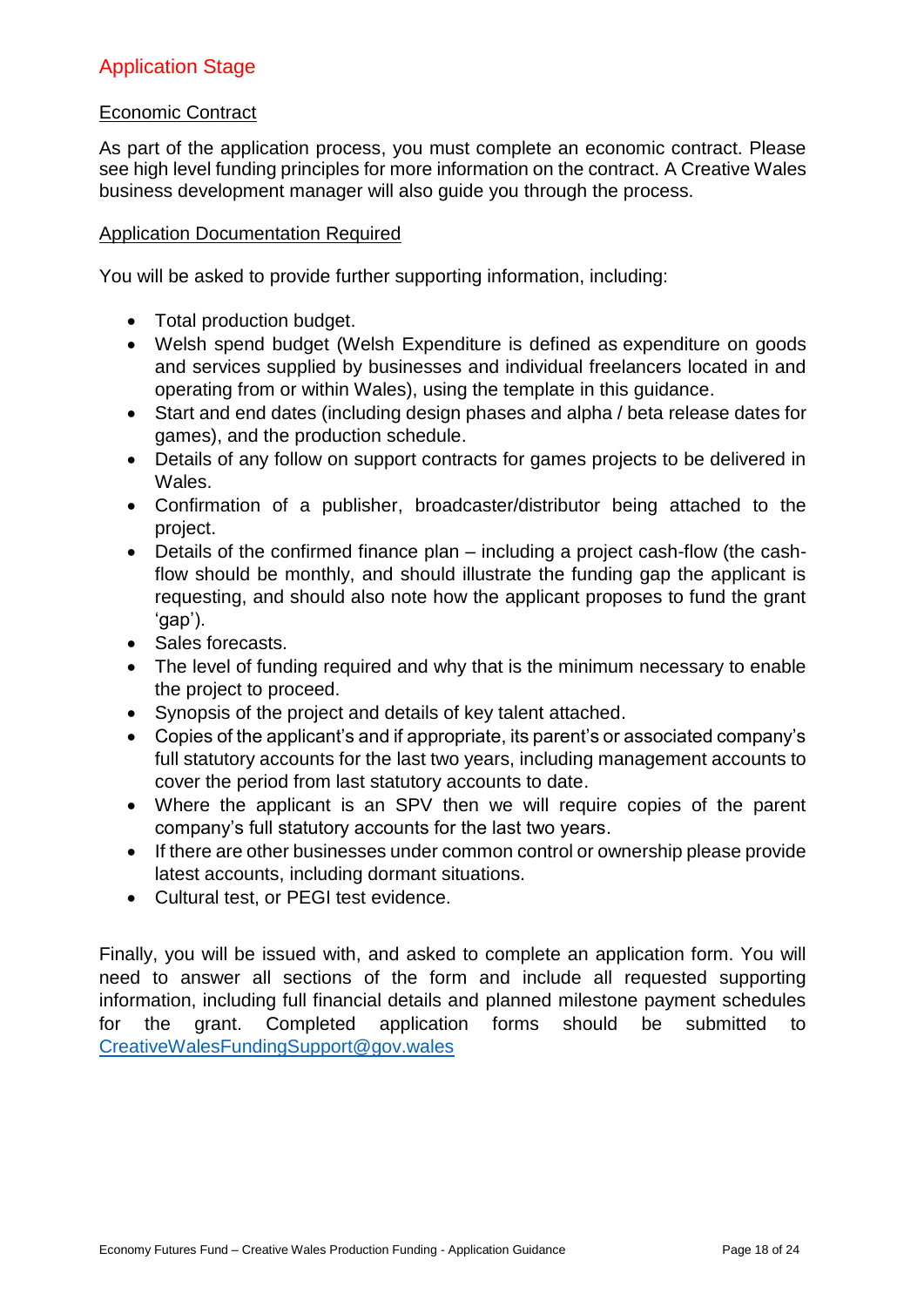## <span id="page-18-0"></span>Application Stage

#### Economic Contract

As part of the application process, you must complete an economic contract. Please see high level funding principles for more information on the contract. A Creative Wales business development manager will also guide you through the process.

#### Application Documentation Required

You will be asked to provide further supporting information, including:

- Total production budget.
- Welsh spend budget (Welsh Expenditure is defined as expenditure on goods and services supplied by businesses and individual freelancers located in and operating from or within Wales), using the template in this guidance.
- Start and end dates (including design phases and alpha / beta release dates for games), and the production schedule.
- Details of any follow on support contracts for games projects to be delivered in Wales.
- Confirmation of a publisher, broadcaster/distributor being attached to the project.
- Details of the confirmed finance plan including a project cash-flow (the cashflow should be monthly, and should illustrate the funding gap the applicant is requesting, and should also note how the applicant proposes to fund the grant 'gap').
- Sales forecasts.
- The level of funding required and why that is the minimum necessary to enable the project to proceed.
- Synopsis of the project and details of key talent attached.
- Copies of the applicant's and if appropriate, its parent's or associated company's full statutory accounts for the last two years, including management accounts to cover the period from last statutory accounts to date.
- Where the applicant is an SPV then we will require copies of the parent company's full statutory accounts for the last two years.
- If there are other businesses under common control or ownership please provide latest accounts, including dormant situations.
- Cultural test, or PEGI test evidence.

Finally, you will be issued with, and asked to complete an application form. You will need to answer all sections of the form and include all requested supporting information, including full financial details and planned milestone payment schedules for the grant. Completed application forms should be submitted to [CreativeWalesFundingSupport@gov.wales](mailto:CreativeWalesFundingSupport@gov.wales)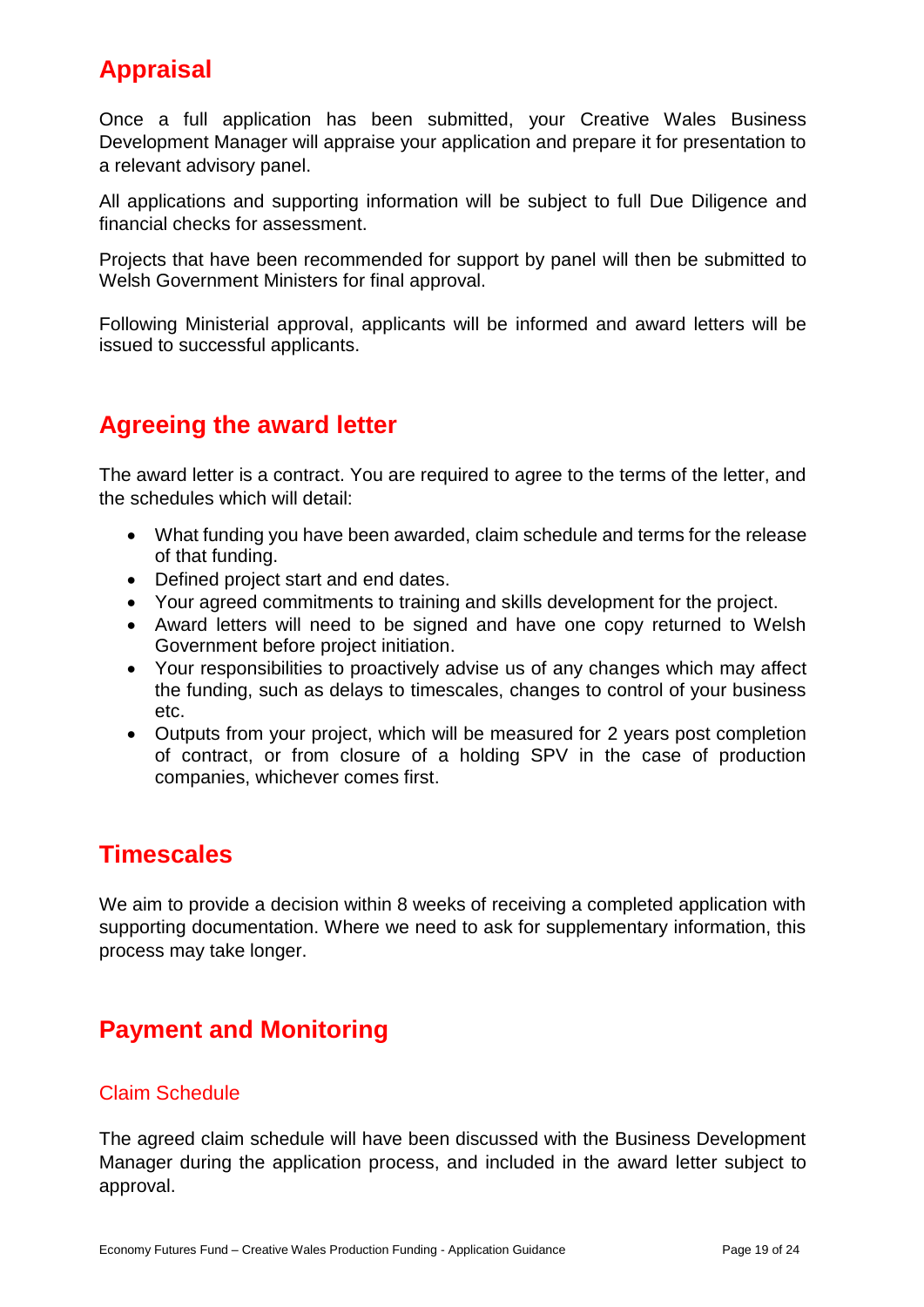# <span id="page-19-0"></span>**Appraisal**

Once a full application has been submitted, your Creative Wales Business Development Manager will appraise your application and prepare it for presentation to a relevant advisory panel.

All applications and supporting information will be subject to full Due Diligence and financial checks for assessment.

Projects that have been recommended for support by panel will then be submitted to Welsh Government Ministers for final approval.

Following Ministerial approval, applicants will be informed and award letters will be issued to successful applicants.

# <span id="page-19-1"></span>**Agreeing the award letter**

The award letter is a contract. You are required to agree to the terms of the letter, and the schedules which will detail:

- What funding you have been awarded, claim schedule and terms for the release of that funding.
- Defined project start and end dates.
- Your agreed commitments to training and skills development for the project.
- Award letters will need to be signed and have one copy returned to Welsh Government before project initiation.
- Your responsibilities to proactively advise us of any changes which may affect the funding, such as delays to timescales, changes to control of your business etc.
- Outputs from your project, which will be measured for 2 years post completion of contract, or from closure of a holding SPV in the case of production companies, whichever comes first.

# <span id="page-19-2"></span>**Timescales**

We aim to provide a decision within 8 weeks of receiving a completed application with supporting documentation. Where we need to ask for supplementary information, this process may take longer.

# <span id="page-19-3"></span>**Payment and Monitoring**

### <span id="page-19-4"></span>Claim Schedule

The agreed claim schedule will have been discussed with the Business Development Manager during the application process, and included in the award letter subject to approval.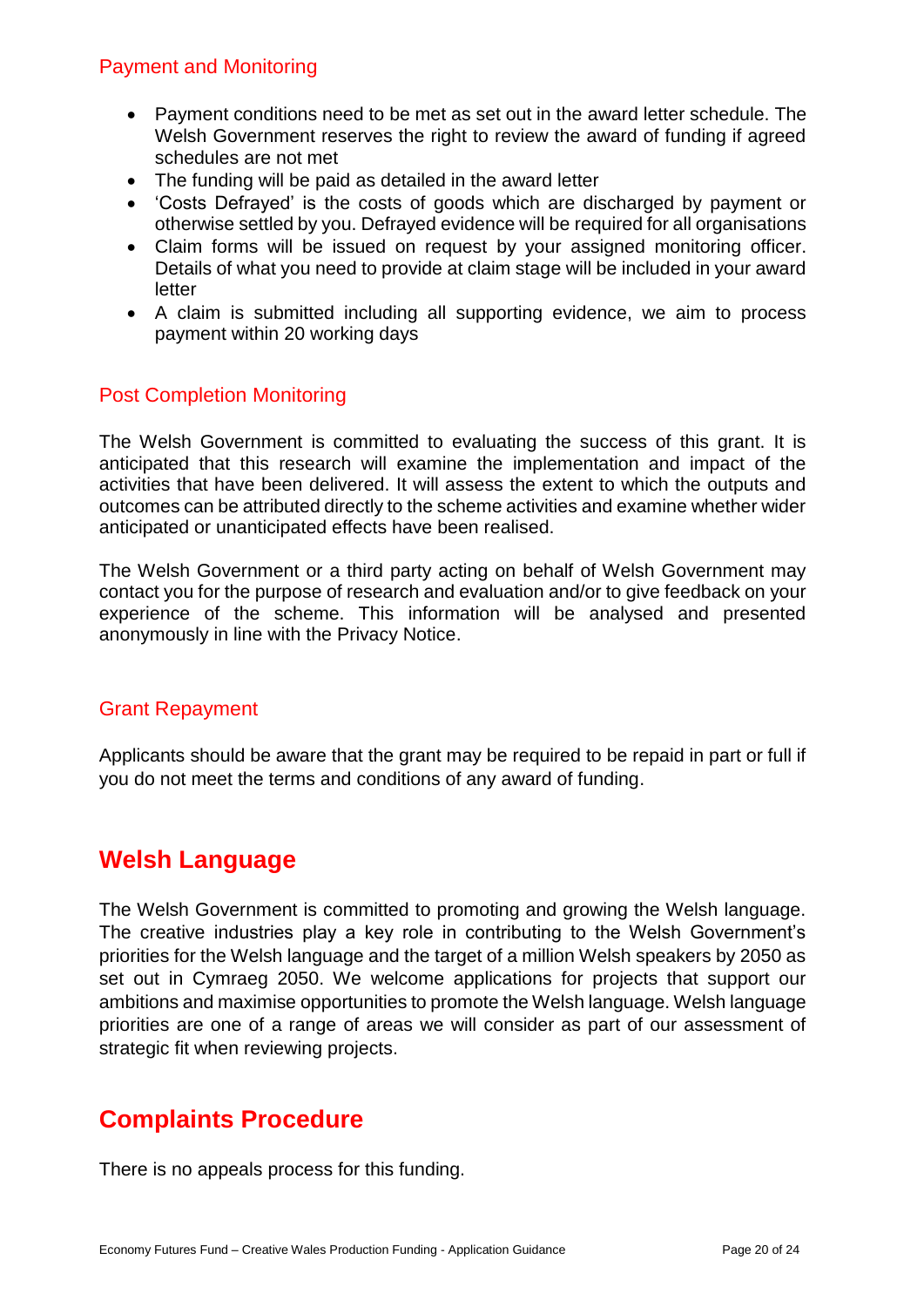### <span id="page-20-0"></span>Payment and Monitoring

- Payment conditions need to be met as set out in the award letter schedule. The Welsh Government reserves the right to review the award of funding if agreed schedules are not met
- The funding will be paid as detailed in the award letter
- 'Costs Defrayed' is the costs of goods which are discharged by payment or otherwise settled by you. Defrayed evidence will be required for all organisations
- Claim forms will be issued on request by your assigned monitoring officer. Details of what you need to provide at claim stage will be included in your award letter
- A claim is submitted including all supporting evidence, we aim to process payment within 20 working days

### <span id="page-20-1"></span>Post Completion Monitoring

The Welsh Government is committed to evaluating the success of this grant. It is anticipated that this research will examine the implementation and impact of the activities that have been delivered. It will assess the extent to which the outputs and outcomes can be attributed directly to the scheme activities and examine whether wider anticipated or unanticipated effects have been realised.

The Welsh Government or a third party acting on behalf of Welsh Government may contact you for the purpose of research and evaluation and/or to give feedback on your experience of the scheme. This information will be analysed and presented anonymously in line with the Privacy Notice.

### <span id="page-20-2"></span>Grant Repayment

Applicants should be aware that the grant may be required to be repaid in part or full if you do not meet the terms and conditions of any award of funding.

# <span id="page-20-3"></span>**Welsh Language**

The Welsh Government is committed to promoting and growing the Welsh language. The creative industries play a key role in contributing to the Welsh Government's priorities for the Welsh language and the target of a million Welsh speakers by 2050 as set out in Cymraeg 2050. We welcome applications for projects that support our ambitions and maximise opportunities to promote the Welsh language. Welsh language priorities are one of a range of areas we will consider as part of our assessment of strategic fit when reviewing projects.

# <span id="page-20-4"></span>**Complaints Procedure**

There is no appeals process for this funding.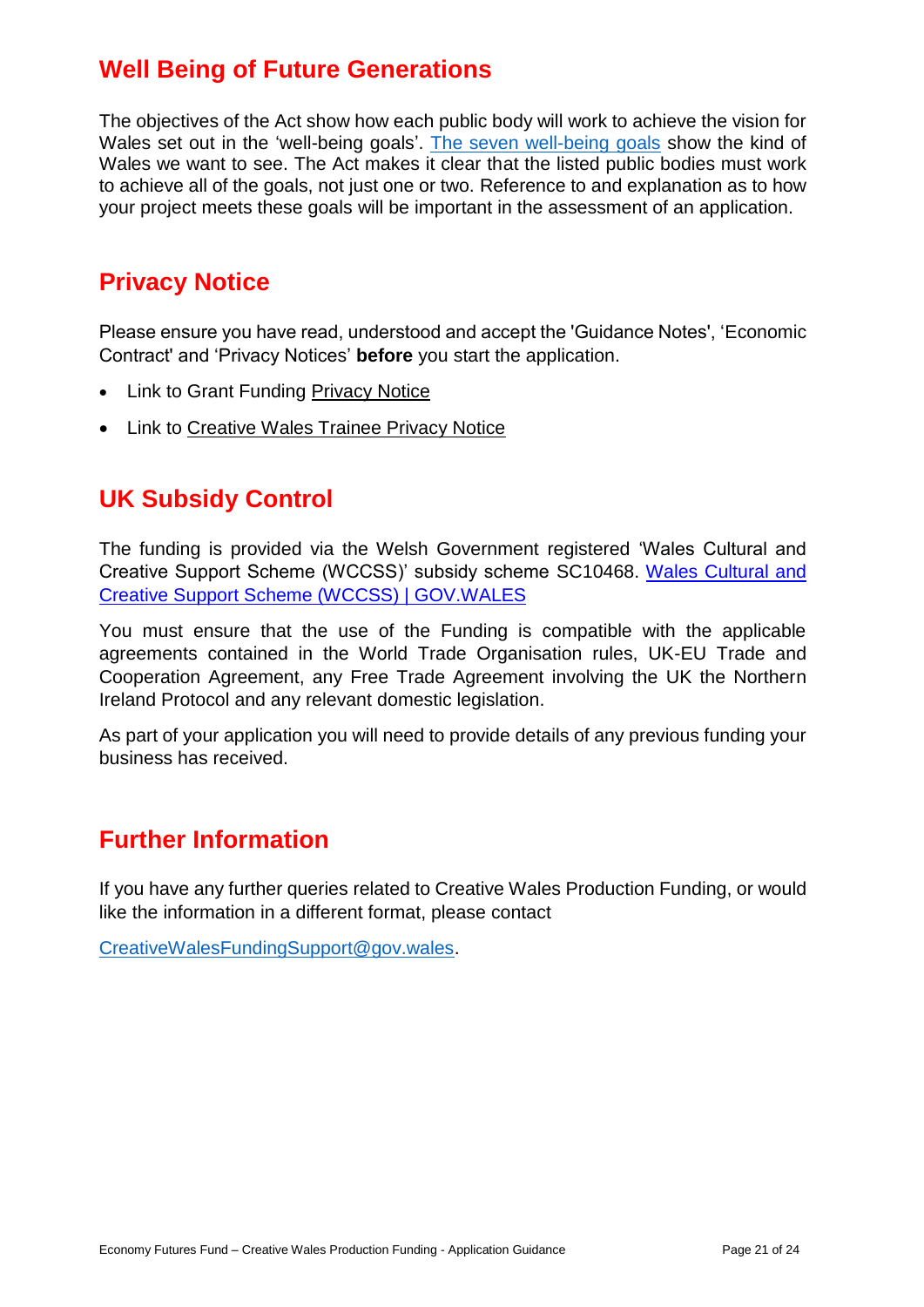# <span id="page-21-0"></span>**Well Being of Future Generations**

The objectives of the Act show how each public body will work to achieve the vision for Wales set out in the 'well-being goals'. [The seven well-being goals](https://gov.wales/well-being-future-generations-guidance) show the kind of Wales we want to see. The Act makes it clear that the listed public bodies must work to achieve all of the goals, not just one or two. Reference to and explanation as to how your project meets these goals will be important in the assessment of an application.

# <span id="page-21-1"></span>**Privacy Notice**

Please ensure you have read, understood and accept the 'Guidance Notes', 'Economic Contract' and 'Privacy Notices' **before** you start the application.

- Link to Grant Funding [Privacy Notice](Privacy%20notice:%20Welsh%20Government%20grants%20|%20GOV.WALES)
- Link to [Creative Wales Trainee Privacy Notice](https://businesswales.gov.wales/creative-wales-production-trainee-privacy-notice)

# <span id="page-21-2"></span>**UK Subsidy Control**

The funding is provided via the Welsh Government registered 'Wales Cultural and Creative Support Scheme (WCCSS)' subsidy scheme SC10468. [Wales Cultural and](https://gov.wales/wales-cultural-and-creative-support-scheme-html)  [Creative Support Scheme \(WCCSS\) | GOV.WALES](https://gov.wales/wales-cultural-and-creative-support-scheme-html)

You must ensure that the use of the Funding is compatible with the applicable agreements contained in the World Trade Organisation rules, UK-EU Trade and Cooperation Agreement, any Free Trade Agreement involving the UK the Northern Ireland Protocol and any relevant domestic legislation.

As part of your application you will need to provide details of any previous funding your business has received.

# <span id="page-21-3"></span>**Further Information**

If you have any further queries related to Creative Wales Production Funding, or would like the information in a different format, please contact

[CreativeWalesFundingSupport@gov.wales.](mailto:CreativeWalesFundingSupport@gov.wales)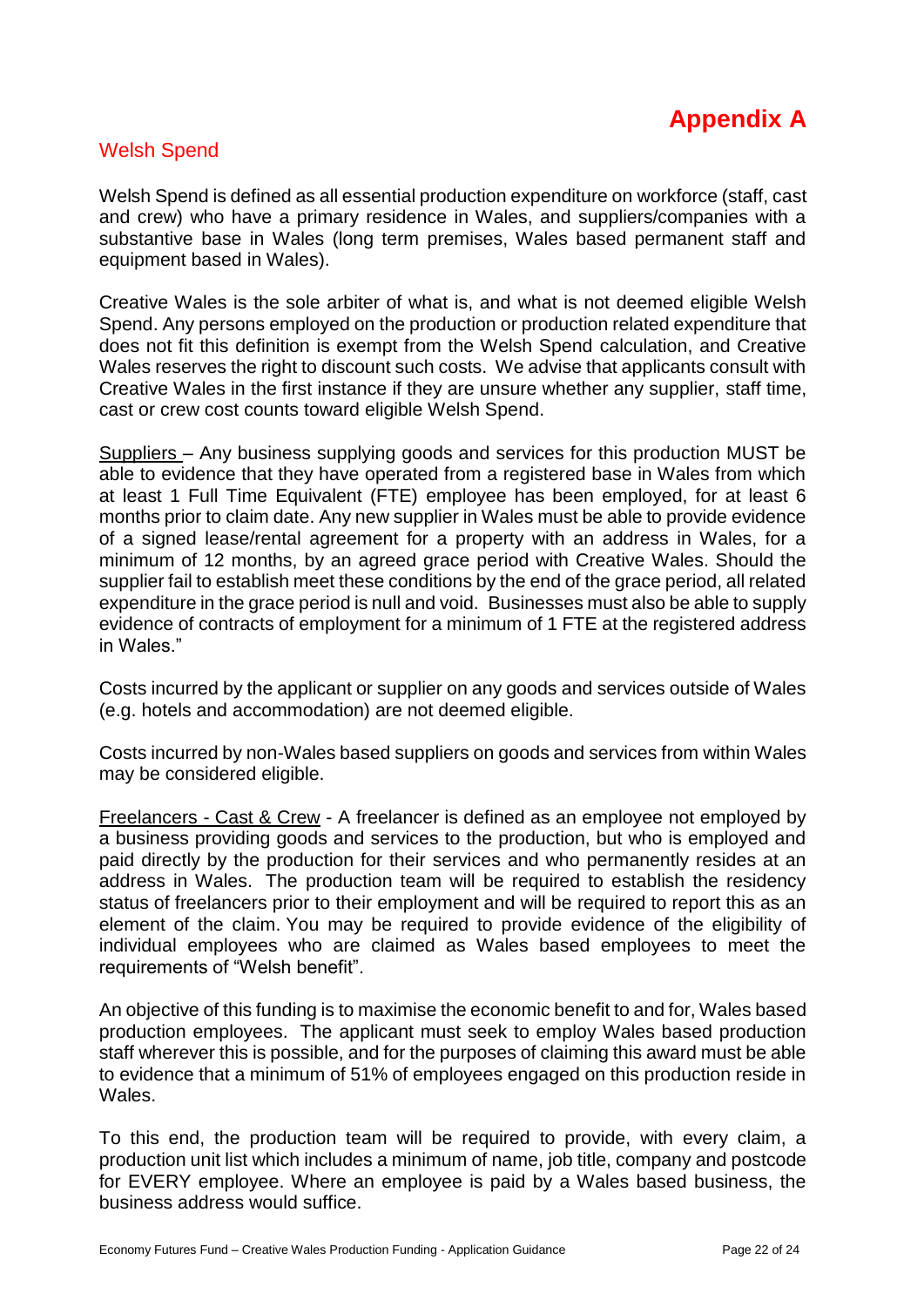

### <span id="page-22-1"></span><span id="page-22-0"></span>Welsh Spend

Welsh Spend is defined as all essential production expenditure on workforce (staff, cast and crew) who have a primary residence in Wales, and suppliers/companies with a substantive base in Wales (long term premises, Wales based permanent staff and equipment based in Wales).

Creative Wales is the sole arbiter of what is, and what is not deemed eligible Welsh Spend. Any persons employed on the production or production related expenditure that does not fit this definition is exempt from the Welsh Spend calculation, and Creative Wales reserves the right to discount such costs. We advise that applicants consult with Creative Wales in the first instance if they are unsure whether any supplier, staff time, cast or crew cost counts toward eligible Welsh Spend.

Suppliers – Any business supplying goods and services for this production MUST be able to evidence that they have operated from a registered base in Wales from which at least 1 Full Time Equivalent (FTE) employee has been employed, for at least 6 months prior to claim date. Any new supplier in Wales must be able to provide evidence of a signed lease/rental agreement for a property with an address in Wales, for a minimum of 12 months, by an agreed grace period with Creative Wales. Should the supplier fail to establish meet these conditions by the end of the grace period, all related expenditure in the grace period is null and void. Businesses must also be able to supply evidence of contracts of employment for a minimum of 1 FTE at the registered address in Wales."

Costs incurred by the applicant or supplier on any goods and services outside of Wales (e.g. hotels and accommodation) are not deemed eligible.

Costs incurred by non-Wales based suppliers on goods and services from within Wales may be considered eligible.

Freelancers - Cast & Crew - A freelancer is defined as an employee not employed by a business providing goods and services to the production, but who is employed and paid directly by the production for their services and who permanently resides at an address in Wales. The production team will be required to establish the residency status of freelancers prior to their employment and will be required to report this as an element of the claim. You may be required to provide evidence of the eligibility of individual employees who are claimed as Wales based employees to meet the requirements of "Welsh benefit".

An objective of this funding is to maximise the economic benefit to and for, Wales based production employees. The applicant must seek to employ Wales based production staff wherever this is possible, and for the purposes of claiming this award must be able to evidence that a minimum of 51% of employees engaged on this production reside in Wales.

To this end, the production team will be required to provide, with every claim, a production unit list which includes a minimum of name, job title, company and postcode for EVERY employee. Where an employee is paid by a Wales based business, the business address would suffice.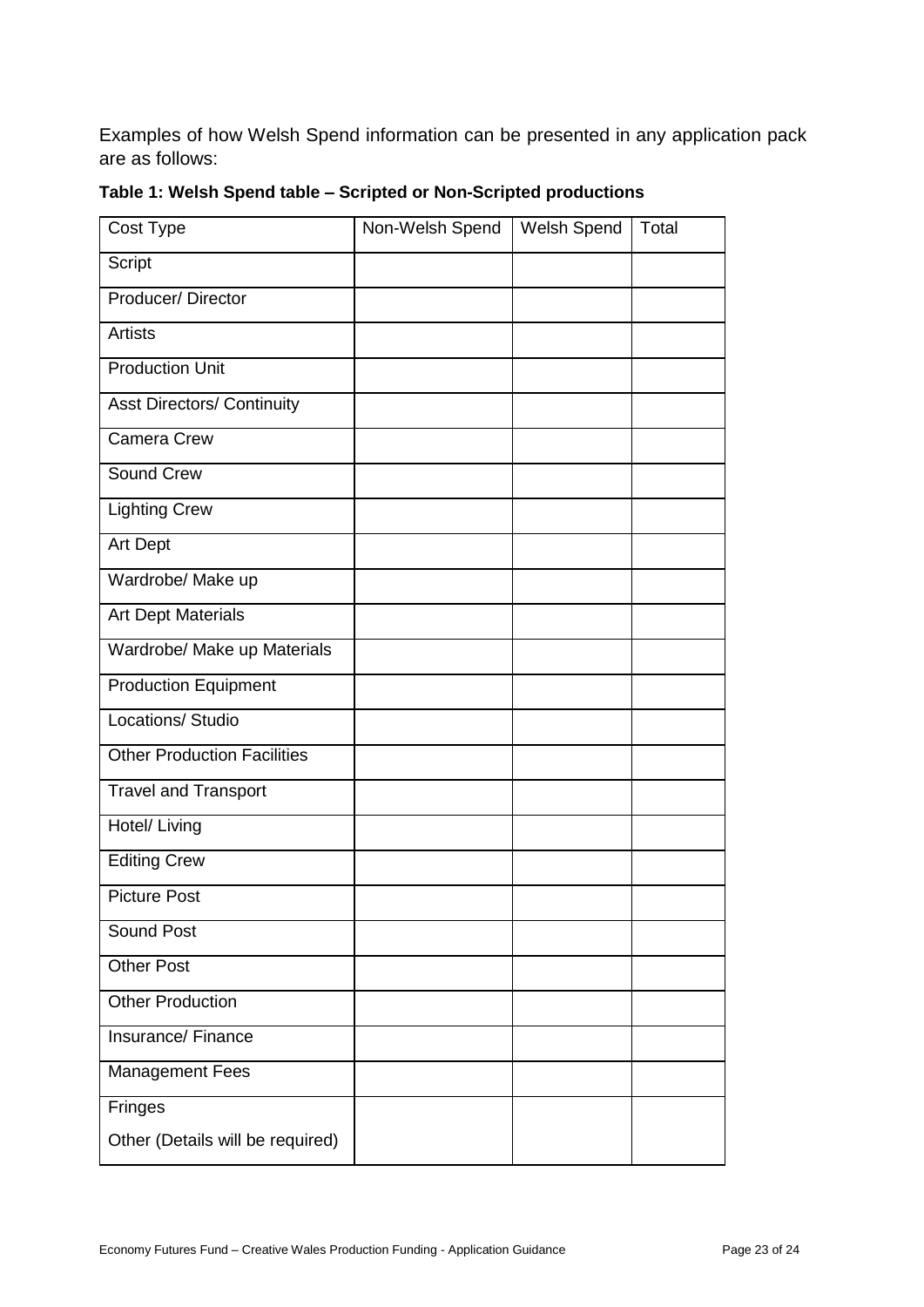Examples of how Welsh Spend information can be presented in any application pack are as follows:

| Cost Type                          | Non-Welsh Spend | Welsh Spend | Total |
|------------------------------------|-----------------|-------------|-------|
| Script                             |                 |             |       |
| Producer/Director                  |                 |             |       |
| <b>Artists</b>                     |                 |             |       |
| <b>Production Unit</b>             |                 |             |       |
| <b>Asst Directors/ Continuity</b>  |                 |             |       |
| <b>Camera Crew</b>                 |                 |             |       |
| Sound Crew                         |                 |             |       |
| <b>Lighting Crew</b>               |                 |             |       |
| <b>Art Dept</b>                    |                 |             |       |
| Wardrobe/ Make up                  |                 |             |       |
| <b>Art Dept Materials</b>          |                 |             |       |
| Wardrobe/ Make up Materials        |                 |             |       |
| <b>Production Equipment</b>        |                 |             |       |
| Locations/ Studio                  |                 |             |       |
| <b>Other Production Facilities</b> |                 |             |       |
| <b>Travel and Transport</b>        |                 |             |       |
| Hotel/ Living                      |                 |             |       |
| <b>Editing Crew</b>                |                 |             |       |
| <b>Picture Post</b>                |                 |             |       |
| Sound Post                         |                 |             |       |
| <b>Other Post</b>                  |                 |             |       |
| <b>Other Production</b>            |                 |             |       |
| Insurance/Finance                  |                 |             |       |
| <b>Management Fees</b>             |                 |             |       |
| <b>Fringes</b>                     |                 |             |       |
| Other (Details will be required)   |                 |             |       |

| Table 1: Welsh Spend table - Scripted or Non-Scripted productions |  |  |
|-------------------------------------------------------------------|--|--|
|                                                                   |  |  |